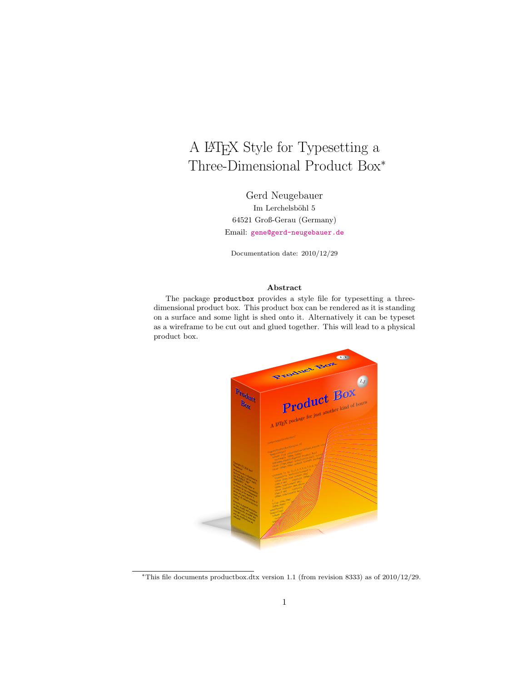# A LATEX Style for Typesetting a Three-Dimensional Product Box<sup>∗</sup>

Gerd Neugebauer  $\rm Im$  Lerchelsböhl $5$ 64521 Groß-Gerau (Germany) Email: [gene@gerd-neugebauer.de](mailto:gene@gerd-neugebauer.de)

Documentation date: 2010/12/29

#### Abstract

The package productbox provides a style file for typesetting a threedimensional product box. This product box can be rendered as it is standing on a surface and some light is shed onto it. Alternatively it can be typeset as a wireframe to be cut out and glued together. This will lead to a physical product box.



<sup>∗</sup>This file documents productbox.dtx version 1.1 (from revision 8333) as of 2010/12/29.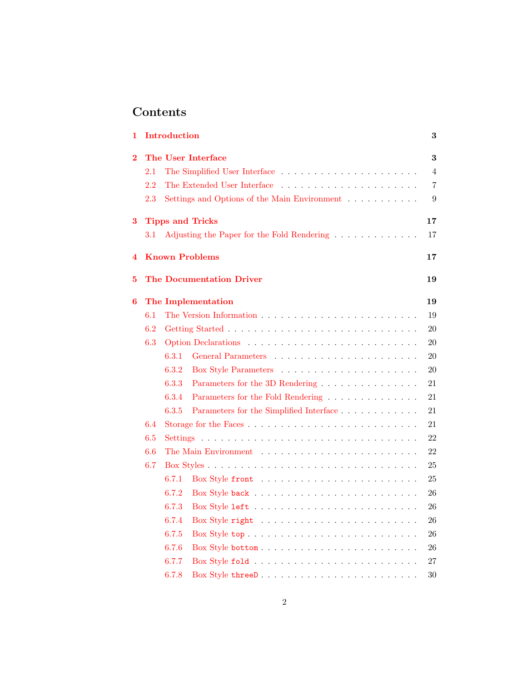# Contents

| 1          |         | Introduction |                                                                            | 3              |
|------------|---------|--------------|----------------------------------------------------------------------------|----------------|
| $\bf{2}$   |         |              | The User Interface                                                         | 3              |
|            | $2.1\,$ |              |                                                                            | $\overline{4}$ |
|            | 2.2     |              | The Extended User Interface                                                | $\overline{7}$ |
|            | 2.3     |              | Settings and Options of the Main Environment                               | 9              |
| 3          |         |              | <b>Tipps and Tricks</b>                                                    | 17             |
|            | 3.1     |              | Adjusting the Paper for the Fold Rendering                                 | 17             |
| 4          |         |              | <b>Known Problems</b>                                                      | 17             |
| 5          |         |              | <b>The Documentation Driver</b>                                            | 19             |
| 6          |         |              | The Implementation                                                         | 19             |
|            | 6.1     |              |                                                                            | 19             |
|            | 6.2     |              |                                                                            | 20             |
|            | 6.3     |              |                                                                            | 20             |
|            |         | 6.3.1        |                                                                            | 20             |
|            |         | 6.3.2        |                                                                            | 20             |
|            |         | 6.3.3        | Parameters for the 3D Rendering                                            | 21             |
|            |         | 6.3.4        | Parameters for the Fold Rendering                                          | 21             |
|            |         | 6.3.5        | Parameters for the Simplified Interface                                    | 21             |
|            | 6.4     |              |                                                                            | 21             |
|            | 6.5     |              |                                                                            | 22             |
| 6.6<br>6.7 |         |              | 22                                                                         |                |
|            |         |              | 25                                                                         |                |
|            |         | 6.7.1        | Box Style front $\ldots \ldots \ldots \ldots \ldots \ldots \ldots$         | 25             |
|            |         | 6.7.2        |                                                                            | 26             |
|            |         | 6.7.3        |                                                                            | 26             |
|            |         | 6.7.4        |                                                                            | 26             |
|            |         | 6.7.5        |                                                                            | 26             |
|            |         | 6.7.6        |                                                                            | 26             |
|            |         | 6.7.7        | $Box$ Style fold $\ldots \ldots \ldots \ldots \ldots \ldots \ldots \ldots$ | 27             |
|            |         | 6.7.8        | Box Style threeD                                                           | 30             |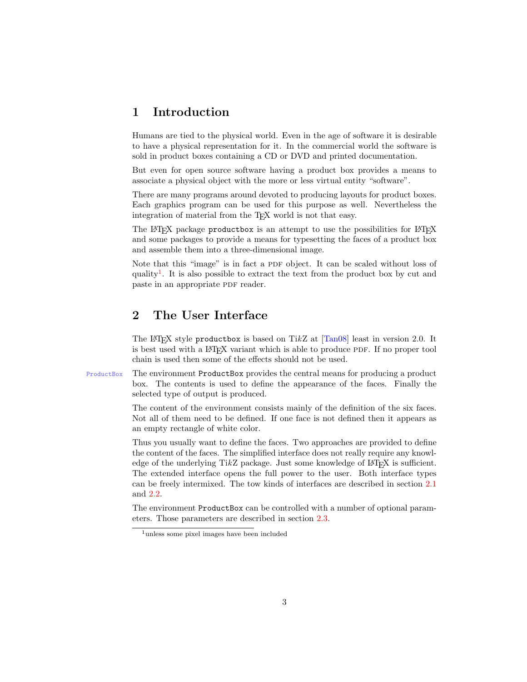# <span id="page-2-0"></span>1 Introduction

Humans are tied to the physical world. Even in the age of software it is desirable to have a physical representation for it. In the commercial world the software is sold in product boxes containing a CD or DVD and printed documentation.

But even for open source software having a product box provides a means to associate a physical object with the more or less virtual entity "software".

There are many programs around devoted to producing layouts for product boxes. Each graphics program can be used for this purpose as well. Nevertheless the integration of material from the T<sub>EX</sub> world is not that easy.

The LAT<sub>EX</sub> package productbox is an attempt to use the possibilities for LAT<sub>EX</sub> and some packages to provide a means for typesetting the faces of a product box and assemble them into a three-dimensional image.

Note that this "image" is in fact a PDF object. It can be scaled without loss of quality[1](#page-2-2) . It is also possible to extract the text from the product box by cut and paste in an appropriate PDF reader.

# <span id="page-2-1"></span>2 The User Interface

The LAT<sub>EX</sub> style productbox is based on TikZ at  $[Tan08]$  least in version 2.0. It is best used with a LAT<sub>EX</sub> variant which is able to produce PDF. If no proper tool chain is used then some of the effects should not be used.

ProductBox The environment ProductBox provides the central means for producing a product box. The contents is used to define the appearance of the faces. Finally the selected type of output is produced.

> The content of the environment consists mainly of the definition of the six faces. Not all of them need to be defined. If one face is not defined then it appears as an empty rectangle of white color.

> Thus you usually want to define the faces. Two approaches are provided to define the content of the faces. The simplified interface does not really require any knowledge of the underlying TikZ package. Just some knowledge of  $L^2T_FX$  is sufficient. The extended interface opens the full power to the user. Both interface types can be freely intermixed. The tow kinds of interfaces are described in section [2.1](#page-3-0) and [2.2.](#page-6-0)

> The environment ProductBox can be controlled with a number of optional parameters. Those parameters are described in section [2.3.](#page-8-0)

<span id="page-2-2"></span><sup>1</sup>unless some pixel images have been included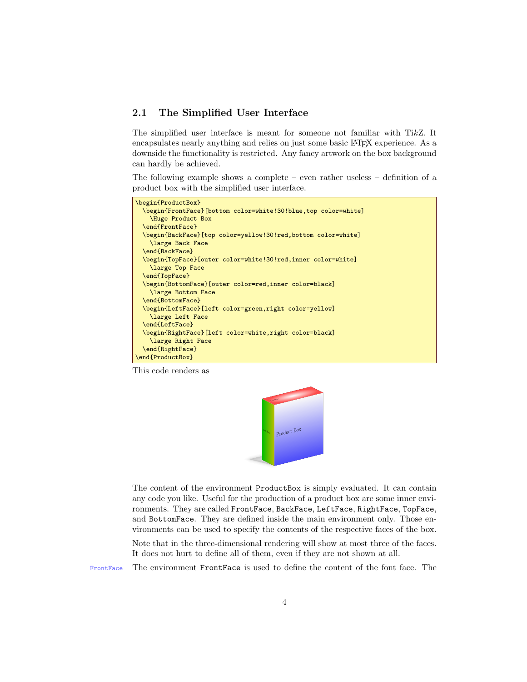# <span id="page-3-0"></span>2.1 The Simplified User Interface

The simplified user interface is meant for someone not familiar with TikZ. It encapsulates nearly anything and relies on just some basic LATEX experience. As a downside the functionality is restricted. Any fancy artwork on the box background can hardly be achieved.

The following example shows a complete – even rather useless – definition of a product box with the simplified user interface.

```
\begin{ProductBox}
  \begin{FrontFace}[bottom color=white!30!blue,top color=white]
   \Huge Product Box
  \end{FrontFace}
 \begin{BackFace}[top color=yellow!30!red,bottom color=white]
   \large Back Face
 \end{BackFace}
 \begin{TopFace}[outer color=white!30!red,inner color=white]
    \large Top Face
 \end{TopFace}
 \begin{BottomFace}[outer color=red,inner color=black]
   \large Bottom Face
  \end{BottomFace}
 \begin{LeftFace}[left color=green,right color=yellow]
   \large Left Face
 \end{LeftFace}
 \begin{RightFace}[left color=white,right color=black]
    \large Right Face
 \end{RightFace}
\end{ProductBox}
```
This code renders as



The content of the environment ProductBox is simply evaluated. It can contain any code you like. Useful for the production of a product box are some inner environments. They are called FrontFace, BackFace, LeftFace, RightFace, TopFace, and BottomFace. They are defined inside the main environment only. Those environments can be used to specify the contents of the respective faces of the box.

Note that in the three-dimensional rendering will show at most three of the faces. It does not hurt to define all of them, even if they are not shown at all.

FrontFace The environment FrontFace is used to define the content of the font face. The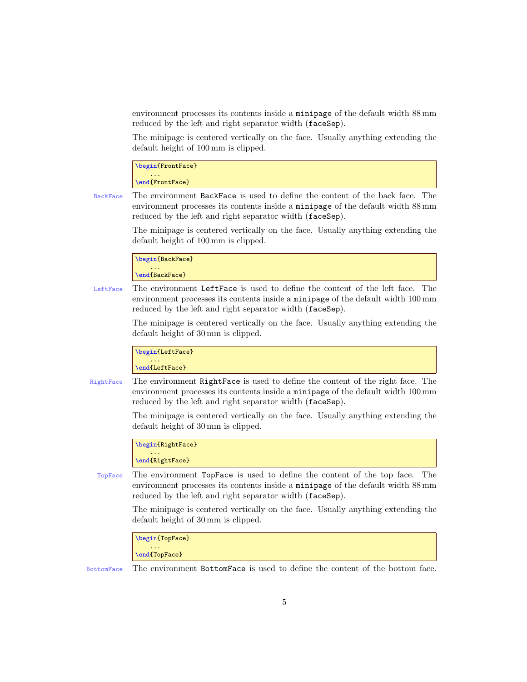environment processes its contents inside a minipage of the default width 88 mm reduced by the left and right separator width (faceSep).

The minipage is centered vertically on the face. Usually anything extending the default height of 100 mm is clipped.

\begin{FrontFace} ... \end{FrontFace}

BackFace The environment BackFace is used to define the content of the back face. The environment processes its contents inside a minipage of the default width 88 mm reduced by the left and right separator width (faceSep).

> The minipage is centered vertically on the face. Usually anything extending the default height of 100 mm is clipped.

\begin{BackFace} ... \end{BackFace}

LeftFace The environment LeftFace is used to define the content of the left face. The environment processes its contents inside a minipage of the default width 100 mm reduced by the left and right separator width (faceSep).

> The minipage is centered vertically on the face. Usually anything extending the default height of 30 mm is clipped.

\begin{LeftFace} ... \end{LeftFace}

RightFace The environment RightFace is used to define the content of the right face. The environment processes its contents inside a minipage of the default width 100 mm reduced by the left and right separator width (faceSep).

> The minipage is centered vertically on the face. Usually anything extending the default height of 30 mm is clipped.

\begin{RightFace} ... \end{RightFace}

TopFace The environment TopFace is used to define the content of the top face. The environment processes its contents inside a minipage of the default width 88 mm reduced by the left and right separator width (faceSep).

> The minipage is centered vertically on the face. Usually anything extending the default height of 30 mm is clipped.

\begin{TopFace} ... \end{TopFace}

BottomFace The environment BottomFace is used to define the content of the bottom face.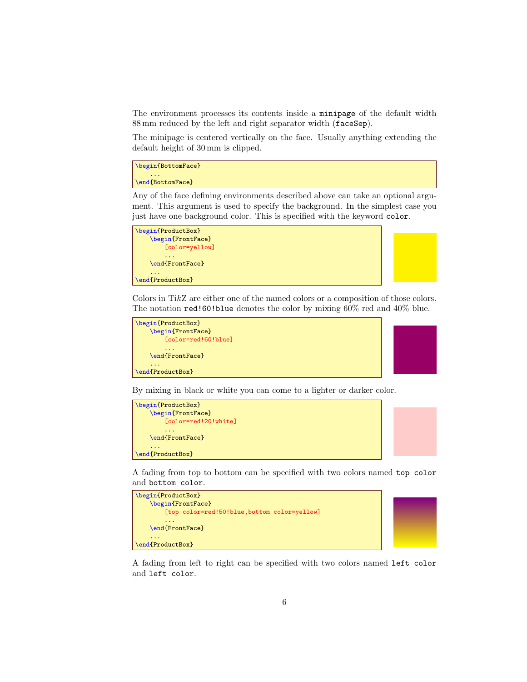The environment processes its contents inside a minipage of the default width 88 mm reduced by the left and right separator width (faceSep).

The minipage is centered vertically on the face. Usually anything extending the default height of 30 mm is clipped.

\begin{BottomFace} ...

\end{BottomFace}

Any of the face defining environments described above can take an optional argument. This argument is used to specify the background. In the simplest case you just have one background color. This is specified with the keyword color.

| \begin{ProductBox} |  |
|--------------------|--|
| \begin{FrontFace}  |  |
| [color=yellow]     |  |
| \end{FrontFace}    |  |
|                    |  |
| \end{ProductBox}   |  |



Colors in TikZ are either one of the named colors or a composition of those colors. The notation red!60!blue denotes the color by mixing 60% red and 40% blue.

```
\begin{ProductBox}
    \begin{FrontFace}
        [color=red!60!blue]
        ...
    \end{FrontFace}
    ...
\end{ProductBox}
```


By mixing in black or white you can come to a lighter or darker color.



A fading from top to bottom can be specified with two colors named top color and bottom color.



A fading from left to right can be specified with two colors named left color and left color.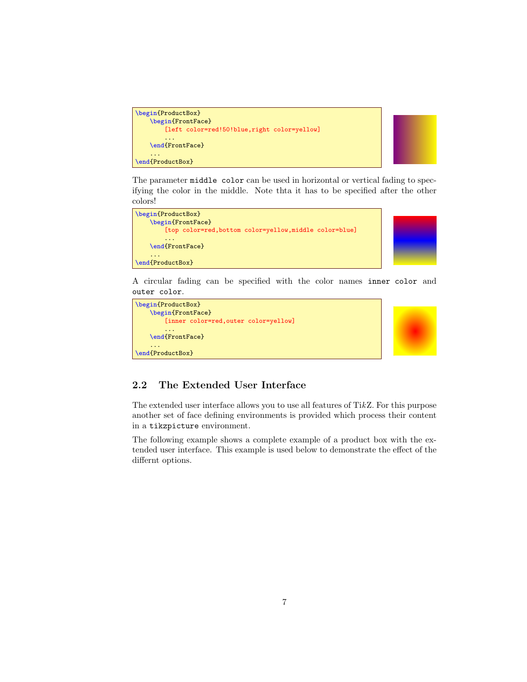```
\begin{ProductBox}
    \begin{FrontFace}
        [left color=red!50!blue,right color=yellow]
        ...
   \end{FrontFace}
    ...
\end{ProductBox}
```


The parameter middle color can be used in horizontal or vertical fading to specifying the color in the middle. Note thta it has to be specified after the other colors!



A circular fading can be specified with the color names inner color and outer color.

```
\begin{ProductBox}
    \begin{FrontFace}
        [inner color=red,outer color=yellow]
        ...
    \end{FrontFace}
    ...
\end{ProductBox}
```


# <span id="page-6-0"></span>2.2 The Extended User Interface

The extended user interface allows you to use all features of TikZ. For this purpose another set of face defining environments is provided which process their content in a tikzpicture environment.

The following example shows a complete example of a product box with the extended user interface. This example is used below to demonstrate the effect of the differnt options.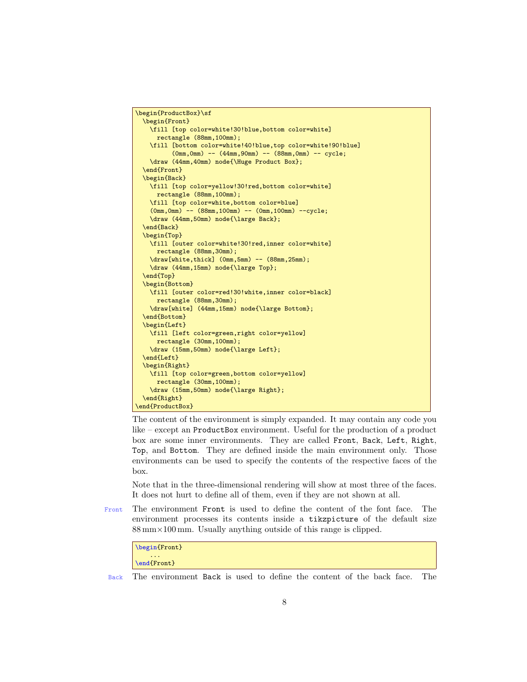```
\begin{ProductBox}\sf
  \begin{Front}
   \fill [top color=white!30!blue,bottom color=white]
     rectangle (88mm,100mm);
   \fill [bottom color=white!40!blue,top color=white!90!blue]
          (0mm,0mm) -- (44mm,90mm) -- (88mm,0mm) -- cycle;
   \draw (44mm,40mm) node{\Huge Product Box};
 \end{Front}
 \begin{Back}
   \fill [top color=yellow!30!red,bottom color=white]
     rectangle (88mm,100mm);
   \fill [top color=white,bottom color=blue]
    (0mm,0mm) -- (88mm,100mm) -- (0mm,100mm) --cycle;
   \draw (44mm,50mm) node{\large Back};
  \end{Back}
 \begin{Top}
   \fill [outer color=white!30!red,inner color=white]
     rectangle (88mm,30mm);
    \draw[white,thick] (0mm,5mm) -- (88mm,25mm);
   \draw (44mm,15mm) node{\large Top};
 \end{Top}
 \begin{Bottom}
   \fill [outer color=red!30!white,inner color=black]
     rectangle (88mm,30mm);
   \draw[white] (44mm,15mm) node{\large Bottom};
 \end{Bottom}
 \begin{Left}
   \fill [left color=green,right color=yellow]
     rectangle (30mm,100mm);
   \draw (15mm,50mm) node{\large Left};
 \end{Left}
 \begin{Right}
   \fill [top color=green,bottom color=yellow]
     rectangle (30mm,100mm);
    \draw (15mm,50mm) node{\large Right};
 \end{Right}
\end{ProductBox}
```
The content of the environment is simply expanded. It may contain any code you like – except an ProductBox environment. Useful for the production of a product box are some inner environments. They are called Front, Back, Left, Right, Top, and Bottom. They are defined inside the main environment only. Those environments can be used to specify the contents of the respective faces of the box.

Note that in the three-dimensional rendering will show at most three of the faces. It does not hurt to define all of them, even if they are not shown at all.

Front The environment Front is used to define the content of the font face. The environment processes its contents inside a tikzpicture of the default size 88 mm×100 mm. Usually anything outside of this range is clipped.

```
\begin{Front}
    ...
\end{Front}
```
Back The environment Back is used to define the content of the back face. The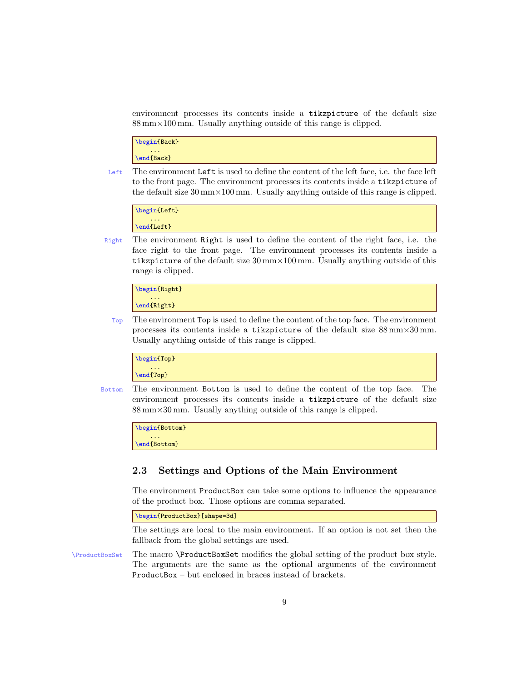environment processes its contents inside a tikzpicture of the default size 88 mm×100 mm. Usually anything outside of this range is clipped.

```
\begin{Back}
    ...
\end{Back}
```
Left The environment Left is used to define the content of the left face, i.e. the face left to the front page. The environment processes its contents inside a tikzpicture of the default size 30 mm×100 mm. Usually anything outside of this range is clipped.

```
\begin{Left}
    ...
\end{Left}
```
Right The environment Right is used to define the content of the right face, i.e. the face right to the front page. The environment processes its contents inside a tikzpicture of the default size  $30 \text{ mm} \times 100 \text{ mm}$ . Usually anything outside of this range is clipped.

```
\begin{Right}
    ...
\end{Right}
```
Top The environment Top is used to define the content of the top face. The environment processes its contents inside a tikzpicture of the default size 88 mm×30 mm. Usually anything outside of this range is clipped.

```
\begin{Top}
    ...
\end{Top}
```
Bottom The environment Bottom is used to define the content of the top face. The environment processes its contents inside a tikzpicture of the default size 88 mm×30 mm. Usually anything outside of this range is clipped.

```
\begin{Bottom}
    ...
\end{Bottom}
```
# <span id="page-8-0"></span>2.3 Settings and Options of the Main Environment

The environment ProductBox can take some options to influence the appearance of the product box. Those options are comma separated.

\begin{ProductBox}[shape=3d]

The settings are local to the main environment. If an option is not set then the fallback from the global settings are used.

\ProductBoxSet The macro \ProductBoxSet modifies the global setting of the product box style. The arguments are the same as the optional arguments of the environment ProductBox – but enclosed in braces instead of brackets.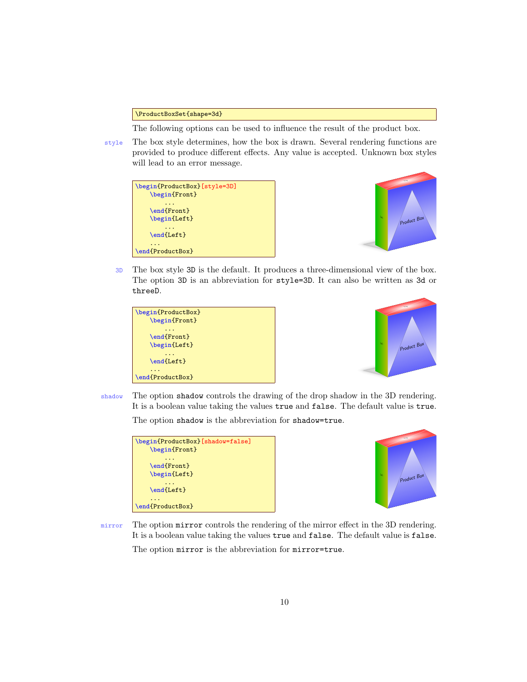\ProductBoxSet{shape=3d}

The following options can be used to influence the result of the product box.

style The box style determines, how the box is drawn. Several rendering functions are provided to produce different effects. Any value is accepted. Unknown box styles will lead to an error message.

| \begin{Front}    | \begin{ProductBox}[style=3D] |
|------------------|------------------------------|
| \end{Front}      |                              |
| \begin{Left}     |                              |
| \end{Left}       |                              |
|                  |                              |
| \end{ProductBox} |                              |



3D The box style 3D is the default. It produces a three-dimensional view of the box. The option 3D is an abbreviation for style=3D. It can also be written as 3d or threeD.





shadow The option shadow controls the drawing of the drop shadow in the 3D rendering. It is a boolean value taking the values true and false. The default value is true.

The option shadow is the abbreviation for shadow=true.





mirror The option mirror controls the rendering of the mirror effect in the 3D rendering. It is a boolean value taking the values true and false. The default value is false.

The option mirror is the abbreviation for mirror=true.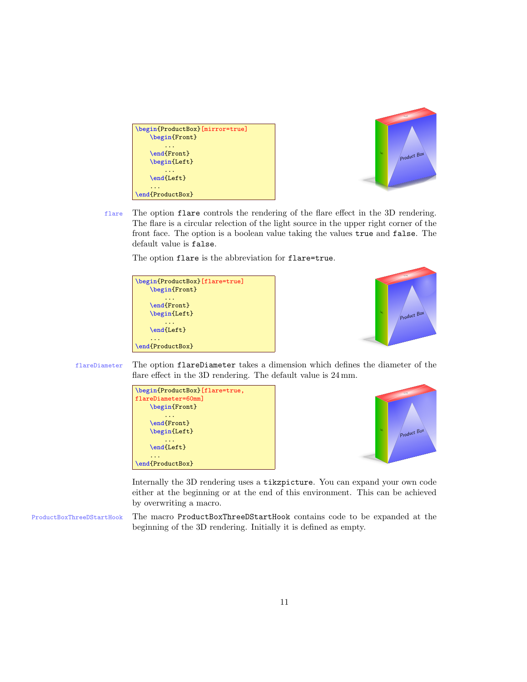| \begin{ProductBox}[mirror=true]<br>\begin{Front} |
|--------------------------------------------------|
| \end{Front}<br>\begin{Left}                      |
| \end{Left}                                       |
| \end{ProductBox}                                 |



flare The option flare controls the rendering of the flare effect in the 3D rendering. The flare is a circular relection of the light source in the upper right corner of the front face. The option is a boolean value taking the values true and false. The default value is false.

The option flare is the abbreviation for flare=true.





flareDiameter The option flareDiameter takes a dimension which defines the diameter of the flare effect in the 3D rendering. The default value is 24 mm.





Internally the 3D rendering uses a tikzpicture. You can expand your own code either at the beginning or at the end of this environment. This can be achieved by overwriting a macro.

ProductBoxThreeDStartHook The macro ProductBoxThreeDStartHook contains code to be expanded at the beginning of the 3D rendering. Initially it is defined as empty.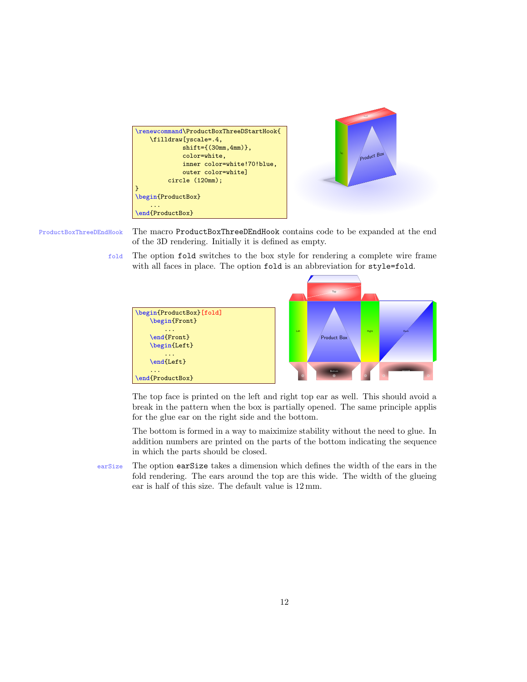

ProductBoxThreeDEndHook The macro ProductBoxThreeDEndHook contains code to be expanded at the end of the 3D rendering. Initially it is defined as empty.

> fold The option fold switches to the box style for rendering a complete wire frame with all faces in place. The option fold is an abbreviation for style=fold.



The top face is printed on the left and right top ear as well. This should avoid a break in the pattern when the box is partially opened. The same principle applis for the glue ear on the right side and the bottom.

The bottom is formed in a way to maiximize stability without the need to glue. In addition numbers are printed on the parts of the bottom indicating the sequence in which the parts should be closed.

earSize The option earSize takes a dimension which defines the width of the ears in the fold rendering. The ears around the top are this wide. The width of the glueing ear is half of this size. The default value is 12 mm.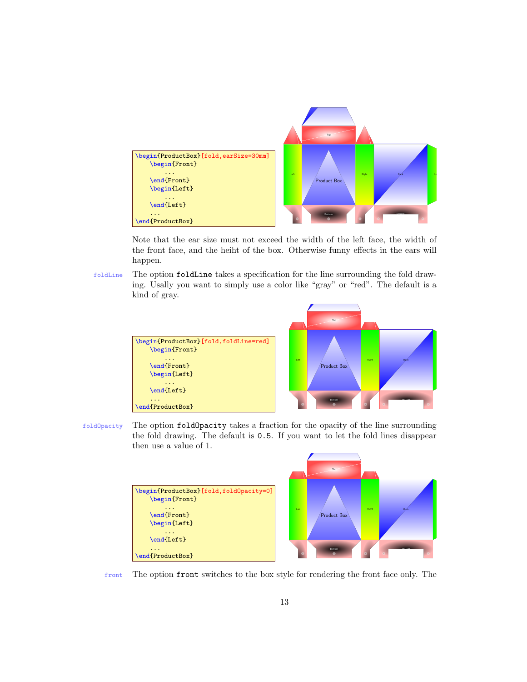

Note that the ear size must not exceed the width of the left face, the width of the front face, and the heiht of the box. Otherwise funny effects in the ears will happen.

foldLine The option foldLine takes a specification for the line surrounding the fold drawing. Usally you want to simply use a color like "gray" or "red". The default is a kind of gray.



foldOpacity The option foldOpacity takes a fraction for the opacity of the line surrounding the fold drawing. The default is 0.5. If you want to let the fold lines disappear then use a value of 1.

| \begin{ProductBox}[fold,foldOpacity=0]<br>\begin{Front} |
|---------------------------------------------------------|
| \end{Front}<br>\begin{Left}                             |
| \end{Left}                                              |
| \end{ProductBox}                                        |



front The option front switches to the box style for rendering the front face only. The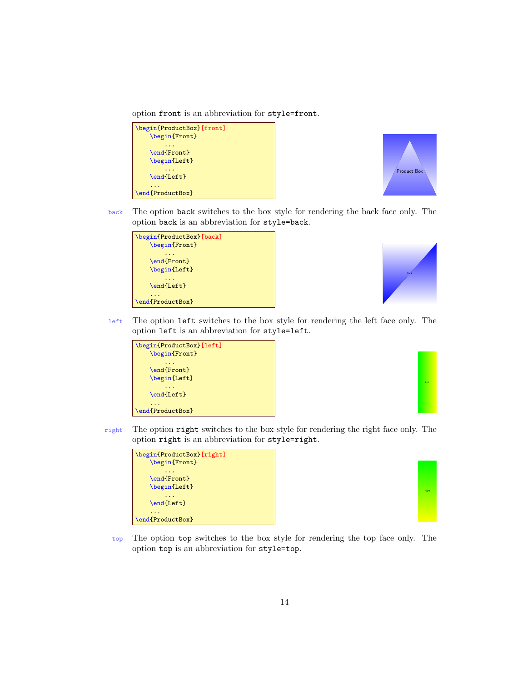option front is an abbreviation for style=front.





back The option back switches to the box style for rendering the back face only. The option back is an abbreviation for style=back.





left The option left switches to the box style for rendering the left face only. The option left is an abbreviation for style=left.





right The option right switches to the box style for rendering the right face only. The option right is an abbreviation for style=right.





top The option top switches to the box style for rendering the top face only. The option top is an abbreviation for style=top.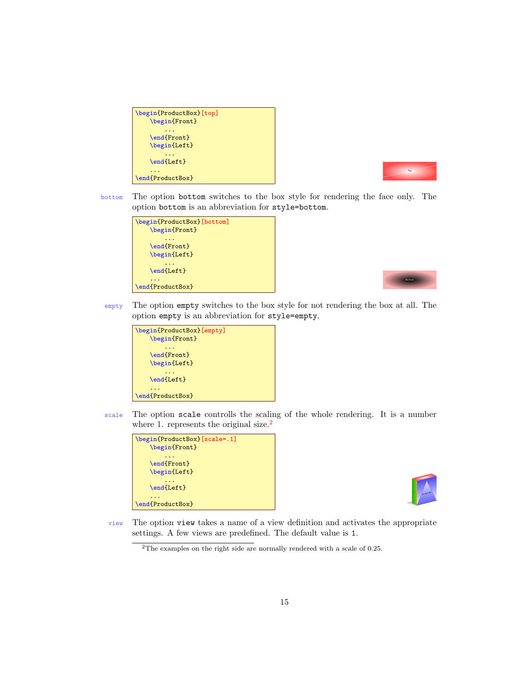| \begin{ProductBox}[top]<br>\begin{Front} |
|------------------------------------------|
| \end{Front}<br>\begin{Left}              |
| \end{Left}                               |
| \end{ProductBox}                         |



bottom The option bottom switches to the box style for rendering the face only. The option bottom is an abbreviation for style=bottom.





empty The option empty switches to the box style for not rendering the box at all. The option empty is an abbreviation for style=empty.



scale The option scale controlls the scaling of the whole rendering. It is a number where 1. represents the original size.<sup>[2](#page-14-0)</sup>





view The option view takes a name of a view definition and activates the appropriate settings. A few views are predefined. The default value is 1.

<span id="page-14-0"></span> $^2 \mathrm{The}$  examples on the right side are normally rendered with a scale of 0.25.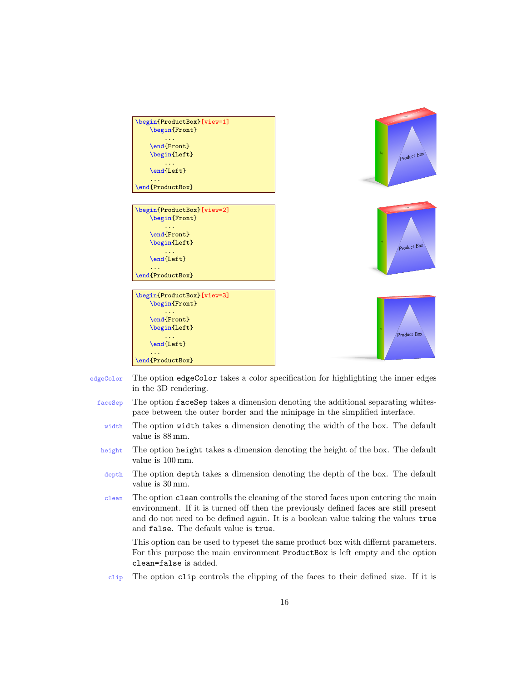

- edgeColor The option edgeColor takes a color specification for highlighting the inner edges in the 3D rendering.
	- faceSep The option faceSep takes a dimension denoting the additional separating whitespace between the outer border and the minipage in the simplified interface.
	- width The option width takes a dimension denoting the width of the box. The default value is 88 mm.
	- height The option height takes a dimension denoting the height of the box. The default value is 100 mm.
	- depth The option depth takes a dimension denoting the depth of the box. The default value is 30 mm.
	- clean The option clean controlls the cleaning of the stored faces upon entering the main environment. If it is turned off then the previously defined faces are still present and do not need to be defined again. It is a boolean value taking the values true and false. The default value is true.

This option can be used to typeset the same product box with differnt parameters. For this purpose the main environment ProductBox is left empty and the option clean=false is added.

clip The option clip controls the clipping of the faces to their defined size. If it is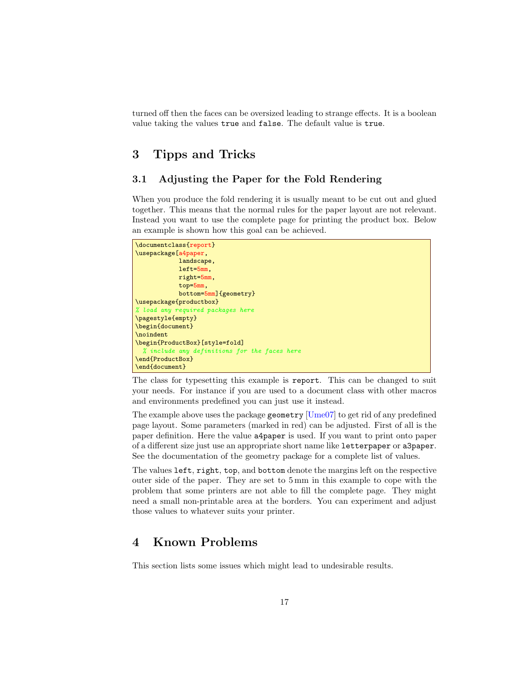turned off then the faces can be oversized leading to strange effects. It is a boolean value taking the values true and false. The default value is true.

# <span id="page-16-0"></span>3 Tipps and Tricks

# <span id="page-16-1"></span>3.1 Adjusting the Paper for the Fold Rendering

When you produce the fold rendering it is usually meant to be cut out and glued together. This means that the normal rules for the paper layout are not relevant. Instead you want to use the complete page for printing the product box. Below an example is shown how this goal can be achieved.

```
\documentclass{report}
\usepackage[a4paper,
            landscape,
            left=5mm,
            right=5mm,
            top=5mm,
            bottom=5mm]{geometry}
\usepackage{productbox}
% load any required packages here
\pagestyle{empty}
\begin{document}
\noindent
\begin{ProductBox}[style=fold]
 % include any definitions for the faces here
\end{ProductBox}
\end{document}
```
The class for typesetting this example is report. This can be changed to suit your needs. For instance if you are used to a document class with other macros and environments predefined you can just use it instead.

The example above uses the package geometry  $[\text{Ume07}]$  to get rid of any predefined page layout. Some parameters (marked in red) can be adjusted. First of all is the paper definition. Here the value a4paper is used. If you want to print onto paper of a different size just use an appropriate short name like letterpaper or a3paper. See the documentation of the geometry package for a complete list of values.

The values left, right, top, and bottom denote the margins left on the respective outer side of the paper. They are set to 5 mm in this example to cope with the problem that some printers are not able to fill the complete page. They might need a small non-printable area at the borders. You can experiment and adjust those values to whatever suits your printer.

# <span id="page-16-2"></span>4 Known Problems

This section lists some issues which might lead to undesirable results.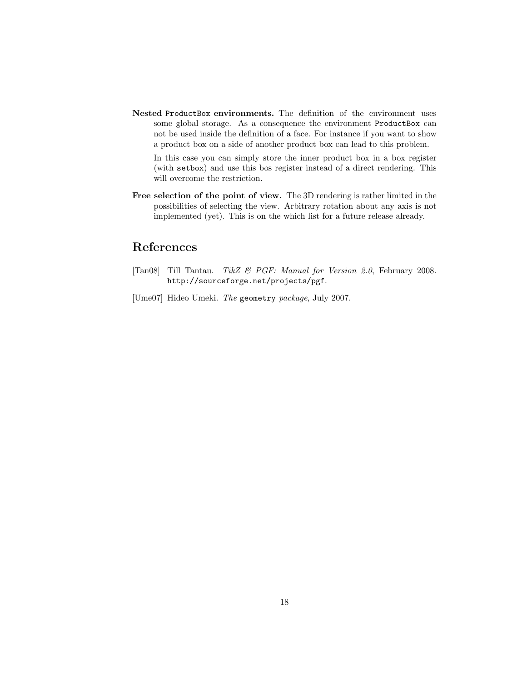Nested ProductBox environments. The definition of the environment uses some global storage. As a consequence the environment ProductBox can not be used inside the definition of a face. For instance if you want to show a product box on a side of another product box can lead to this problem.

In this case you can simply store the inner product box in a box register (with setbox) and use this bos register instead of a direct rendering. This will overcome the restriction.

Free selection of the point of view. The 3D rendering is rather limited in the possibilities of selecting the view. Arbitrary rotation about any axis is not implemented (yet). This is on the which list for a future release already.

# References

- <span id="page-17-0"></span>[Tan08] Till Tantau. TikZ & PGF: Manual for Version 2.0, February 2008. http://sourceforge.net/projects/pgf.
- <span id="page-17-1"></span>[Ume07] Hideo Umeki. The geometry package, July 2007.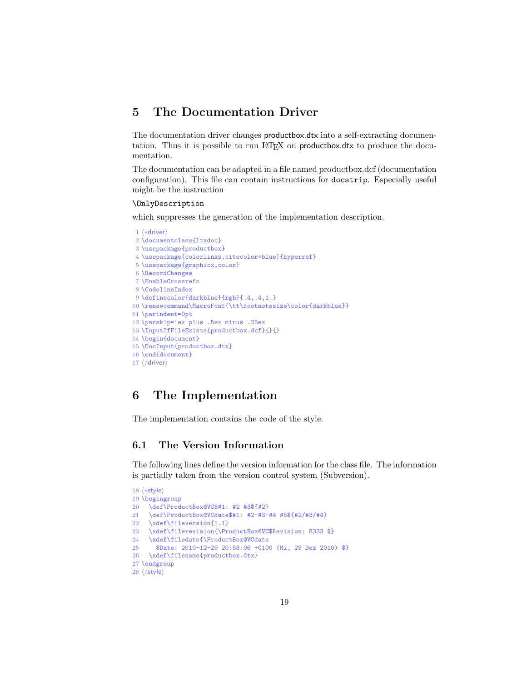# <span id="page-18-0"></span>5 The Documentation Driver

The documentation driver changes productbox.dtx into a self-extracting documentation. Thus it is possible to run LATEX on productbox.dtx to produce the documentation.

The documentation can be adapted in a file named productbox.dcf (documentation configuration). This file can contain instructions for docstrip. Especially useful might be the instruction

#### \OnlyDescription

which suppresses the generation of the implementation description.

```
1 (*driver)
2 \documentclass{ltxdoc}
3 \usepackage{productbox}
4 \usepackage[colorlinks,citecolor=blue]{hyperref}
5 \usepackage{graphicx,color}
6 \RecordChanges
7 \EnableCrossrefs
8 \CodelineIndex
9 \definecolor{darkblue}{rgb}{.4,.4,1.}
10 \renewcommand\MacroFont{\tt\footnotesize\color{darkblue}}
11 \parindent=0pt
12 \parskip=1ex plus .5ex minus .25ex
13 \InputIfFileExists{productbox.dcf}{}{}
14 \begin{document}
15 \DocInput{productbox.dtx}
16 \end{document}
17 \langle driver\rangle
```
# <span id="page-18-1"></span>6 The Implementation

The implementation contains the code of the style.

# <span id="page-18-2"></span>6.1 The Version Information

The following lines define the version information for the class file. The information is partially taken from the version control system (Subversion).

```
18 \langle \aststyle\rangle19 \begingroup
20 \def\ProductBox@VC$#1: #2 #3${#2}
21 \def\ProductBox@VCdate$#1: #2-#3-#4 #5${#2/#3/#4}
22 \xdef\fileversion{1.1}
23 \xdef\filerevision{\ProductBox@VC$Revision: 8333 $}
24 \xdef\filedate{\ProductBox@VCdate
25 $Date: 2010-12-29 20:58:06 +0100 (Mi, 29 Dez 2010) $}
26 \xdef\filename{productbox.dtx}
27 \endgroup
28 \langle/style\rangle
```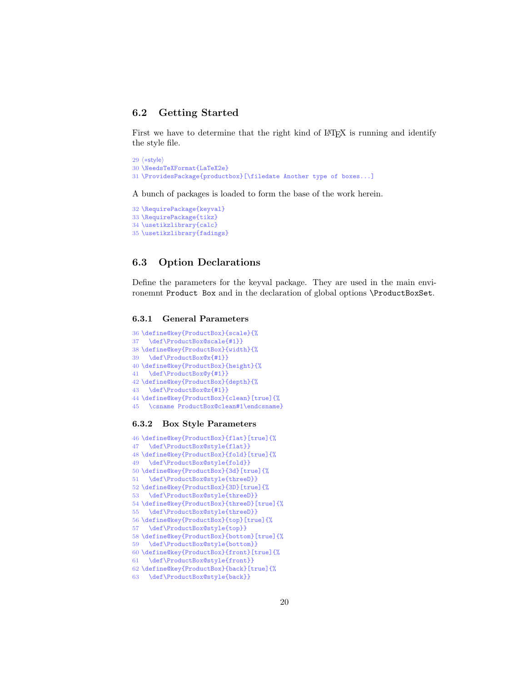# <span id="page-19-0"></span>6.2 Getting Started

First we have to determine that the right kind of L<sup>AT</sup>EX is running and identify the style file.

```
29 \langle *style \rangle30 \NeedsTeXFormat{LaTeX2e}
31 \ProvidesPackage{productbox}[\filedate Another type of boxes...]
```
A bunch of packages is loaded to form the base of the work herein.

```
32 \RequirePackage{keyval}
33 \RequirePackage{tikz}
34 \usetikzlibrary{calc}
35 \usetikzlibrary{fadings}
```
### <span id="page-19-1"></span>6.3 Option Declarations

Define the parameters for the keyval package. They are used in the main environemnt Product Box and in the declaration of global options \ProductBoxSet.

#### <span id="page-19-2"></span>6.3.1 General Parameters

```
36 \define@key{ProductBox}{scale}{%
37 \def\ProductBox@scale{#1}}
38 \define@key{ProductBox}{width}{%
39 \def\ProductBox@x{#1}}
40 \define@key{ProductBox}{height}{%
41 \def\ProductBox@y{#1}}
42 \define@key{ProductBox}{depth}{%
43 \def\ProductBox@z{#1}}
44 \define@key{ProductBox}{clean}[true]{%
45 \csname ProductBox@clean#1\endcsname}
```
#### <span id="page-19-3"></span>6.3.2 Box Style Parameters

```
46 \define@key{ProductBox}{flat}[true]{%
47 \def\ProductBox@style{flat}}
48 \define@key{ProductBox}{fold}[true]{%
49 \def\ProductBox@style{fold}}
50 \define@key{ProductBox}{3d}[true]{%
51 \def\ProductBox@style{threeD}}
52 \define@key{ProductBox}{3D}[true]{%
53 \def\ProductBox@style{threeD}}
54 \define@key{ProductBox}{threeD}[true]{%
55 \def\ProductBox@style{threeD}}
56 \define@key{ProductBox}{top}[true]{%
57 \def\ProductBox@style{top}}
58 \define@key{ProductBox}{bottom}[true]{%
59 \def\ProductBox@style{bottom}}
60 \define@key{ProductBox}{front}[true]{%
61 \def\ProductBox@style{front}}
62 \define@key{ProductBox}{back}[true]{%
63 \def\ProductBox@style{back}}
```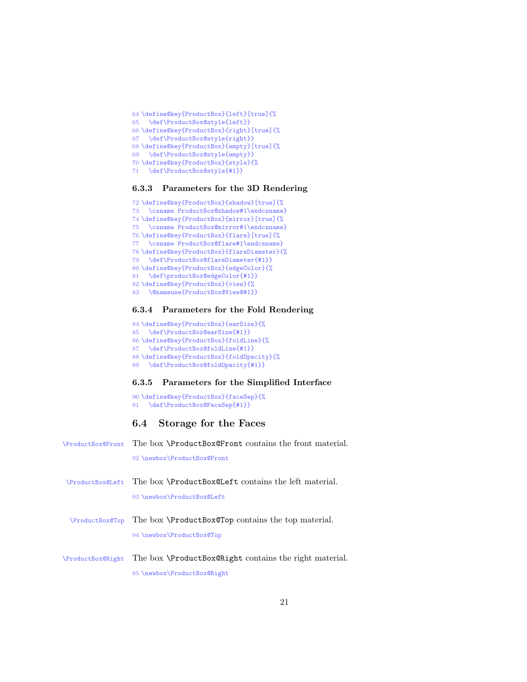```
64 \define@key{ProductBox}{left}[true]{%
65 \def\ProductBox@style{left}}
66 \define@key{ProductBox}{right}[true]{%
67 \def\ProductBox@style{right}}
68 \define@key{ProductBox}{empty}[true]{%
69 \def\ProductBox@style{empty}}
70 \define@key{ProductBox}{style}{%
71 \def\ProductBox@style{#1}}
```
#### <span id="page-20-0"></span>6.3.3 Parameters for the 3D Rendering

```
72 \define@key{ProductBox}{shadow}[true]{%
73 \csname ProductBox@shadow#1\endcsname}
74 \define@key{ProductBox}{mirror}[true]{%
75 \csname ProductBox@mirror#1\endcsname}
76 \define@key{ProductBox}{flare}[true]{%
77 \csname ProductBox@flare#1\endcsname}
78 \define@key{ProductBox}{flareDiameter}{%
79 \def\ProductBox@flareDiameter{#1}}
80 \define@key{ProductBox}{edgeColor}{%
81 \def\productBox@edgeColor{#1}}
82 \define@key{ProductBox}{view}{%
83 \@nameuse{ProductBox@View@#1}}
```
#### <span id="page-20-1"></span>6.3.4 Parameters for the Fold Rendering

```
84 \define@key{ProductBox}{earSize}{%
85 \def\ProductBox@earSize{#1}}
86 \define@key{ProductBox}{foldLine}{%
87 \def\ProductBox@foldLine{#1}}
88 \define@key{ProductBox}{foldOpacity}{%
89 \def\ProductBox@foldOpacity{#1}}
```
#### <span id="page-20-2"></span>6.3.5 Parameters for the Simplified Interface

```
90 \define@key{ProductBox}{faceSep}{%
91 \def\ProductBox@FaceSep{#1}}
```
# <span id="page-20-3"></span>6.4 Storage for the Faces

| <b>\ProductBox@Front</b> | The box <b>\ProductBox@Front</b> contains the front material. |
|--------------------------|---------------------------------------------------------------|
|                          | 92 \newbox\ProductBox@Front                                   |
| <b>\ProductBox@Left</b>  | The box \ProductBox@Left contains the left material.          |
|                          | 93 \newbox\ProductBox@Left                                    |
| <b>\ProductBox@Top</b>   | The box \ProductBox@Top contains the top material.            |
|                          | 94 \newbox\ProductBox@Top                                     |
| \ProductBox@Right        | The box <b>\ProductBox@Right</b> contains the right material. |
|                          | 95 \newbox\ProductBox@Right                                   |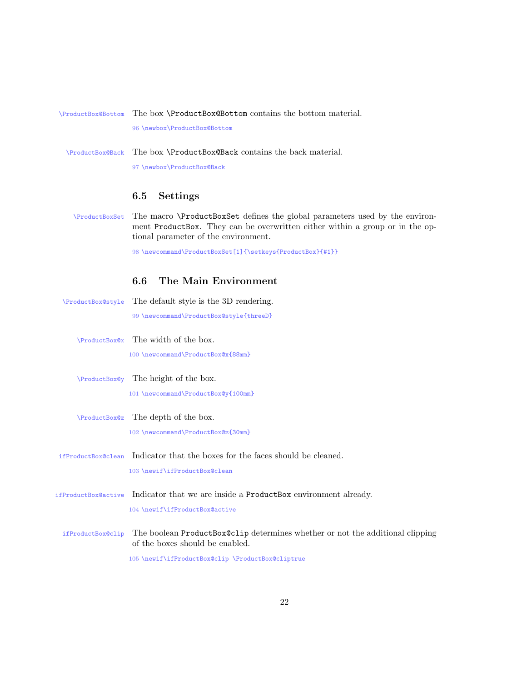# \ProductBox@Bottom The box \ProductBox@Bottom contains the bottom material.

96 \newbox\ProductBox@Bottom

\ProductBox@Back The box \ProductBox@Back contains the back material.

97 \newbox\ProductBox@Back

# <span id="page-21-0"></span>6.5 Settings

\ProductBoxSet The macro \ProductBoxSet defines the global parameters used by the environment ProductBox. They can be overwritten either within a group or in the optional parameter of the environment.

98 \newcommand\ProductBoxSet[1]{\setkeys{ProductBox}{#1}}

# <span id="page-21-1"></span>6.6 The Main Environment

\ProductBox@style The default style is the 3D rendering. 99 \newcommand\ProductBox@style{threeD} \ProductBox@x The width of the box. 100 \newcommand\ProductBox@x{88mm} \ProductBox@y The height of the box. 101 \newcommand\ProductBox@y{100mm} \ProductBox@z The depth of the box. 102 \newcommand\ProductBox@z{30mm} ifProductBox@clean Indicator that the boxes for the faces should be cleaned. 103 \newif\ifProductBox@clean ifProductBox@active Indicator that we are inside a ProductBox environment already. 104 \newif\ifProductBox@active ifProductBox@clip The boolean ProductBox@clip determines whether or not the additional clipping of the boxes should be enabled. 105 \newif\ifProductBox@clip \ProductBox@cliptrue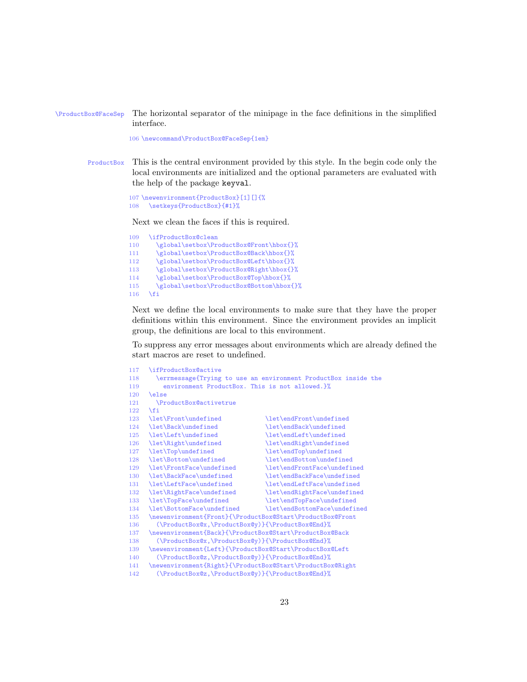\ProductBox@FaceSep The horizontal separator of the minipage in the face definitions in the simplified interface.

106 \newcommand\ProductBox@FaceSep{1em}

ProductBox This is the central environment provided by this style. In the begin code only the local environments are initialized and the optional parameters are evaluated with the help of the package keyval.

```
107 \newenvironment{ProductBox}[1][]{%
108 \setkeys{ProductBox}{#1}%
```
Next we clean the faces if this is required.

```
109 \ifProductBox@clean<br>110 \global\setbox\Pr
        \global\setbox\ProductBox@Front\hbox{}%
111 \global\setbox\ProductBox@Back\hbox{}%
112 \global\setbox\ProductBox@Left\hbox{}%
113 \global\setbox\ProductBox@Right\hbox{}%
114 \global\setbox\ProductBox@Top\hbox{}%
115 \global\setbox\ProductBox@Bottom\hbox{}%
116 \fi
```
Next we define the local environments to make sure that they have the proper definitions within this environment. Since the environment provides an implicit group, the definitions are local to this environment.

To suppress any error messages about environments which are already defined the start macros are reset to undefined.

```
117 \ifProductBox@active
118 \errmessage{Trying to use an environment ProductBox inside the
119 environment ProductBox. This is not allowed.}%
120 \else
121 \ProductBox@activetrue
122 \fi
123 \let\Front\undefined \let\endFront\undefined
124 \let\Back\undefined \let\endBack\undefined<br>125 \let\Left\undefined \let\endLeft\undefined
125 \let\Left\undefined \let\endLeft\undefined
126 \let\Right\undefined \let\endRight\undefined
127 \let\Top\undefined \let\endTop\undefined \let\endTop\undefined \let\endBottom\undefined
                                     \let\endBottom\undefined
129 \ \let\FrontFace\undefined \ \let\endFace\undefined
130 \ \let\BackFace\undefined \ \ let\endBackFace\undefined130 \let\BackFace\undefined \let\endBackFace\undefined
131 \let\LeftFace\undefined \let\endLeftFace\undefined
132 \let\RightFace\undefined \let\endRightFace\undefined
133 \let\TopFace\undefined \let\endTopFace\undefined
134 \let\BottomFace\undefined \let\endBottomFace\undefined
135 \newenvironment{Front}{\ProductBox@Start\ProductBox@Front
136 (\ProductBox@x,\ProductBox@y)}{\ProductBox@End}%
137 \newenvironment{Back}{\ProductBox@Start\ProductBox@Back
138 (\ProductBox@x,\ProductBox@y)}{\ProductBox@End}%
139 \newenvironment{Left}{\ProductBox@Start\ProductBox@Left
140 (\ProductBox@z,\ProductBox@y)}{\ProductBox@End}%
141 \newenvironment{Right}{\ProductBox@Start\ProductBox@Right
142 (\ProductBox@z,\ProductBox@y)}{\ProductBox@End}%
```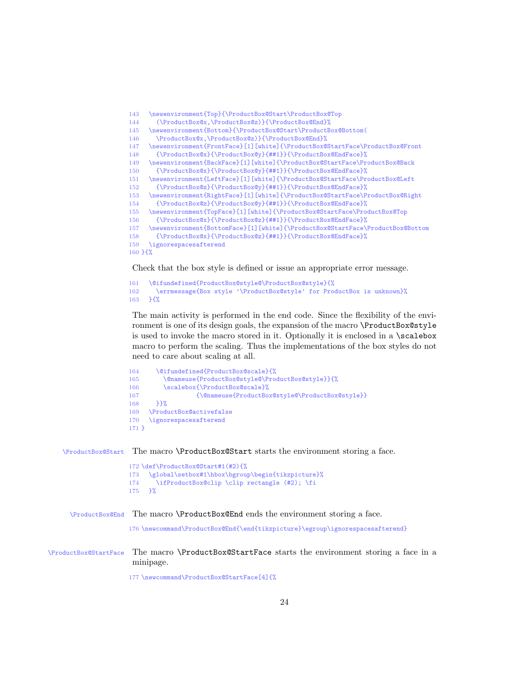```
143 \newenvironment{Top}{\ProductBox@Start\ProductBox@Top
144 (\ProductBox@x,\ProductBox@z)}{\ProductBox@End}%
145 \newenvironment{Bottom}{\ProductBox@Start\ProductBox@Bottom(
146 \ProductBox@x,\ProductBox@z)}{\ProductBox@End}%
147 \newenvironment{FrontFace}[1][white]{\ProductBox@StartFace\ProductBox@Front
148 {\ProductBox@x}{\ProductBox@y}{##1}}{\ProductBox@EndFace}%
149 \newenvironment{BackFace}[1][white]{\ProductBox@StartFace\ProductBox@Back
150 {\ProductBox@x}{\ProductBox@y}{##1}}{\ProductBox@EndFace}%
151 \newenvironment{LeftFace}[1][white]{\ProductBox@StartFace\ProductBox@Left
152 {\ProductBox@z}{\ProductBox@y}{##1}}{\ProductBox@EndFace}%
153 \newenvironment{RightFace}[1][white]{\ProductBox@StartFace\ProductBox@Right
154 {\ProductBox@z}{\ProductBox@y}{##1}}{\ProductBox@EndFace}%<br>155 \newenvironment{TopFace}[1][white]{\ProductBox@StartFace\Pro
     \newenvironment{TopFace}[1][white]{\ProductBox@StartFace\ProductBox@Top
156 {\ProductBox@x}{\ProductBox@z}{##1}}{\ProductBox@EndFace}%
157 \newenvironment{BottomFace}[1][white]{\ProductBox@StartFace\ProductBox@Bottom
158 {\ProductBox@x}{\ProductBox@z}{##1}}{\ProductBox@EndFace}%
159 \ignorespacesafterend
160 }{%
```
Check that the box style is defined or issue an appropriate error message.

```
161 \@ifundefined{ProductBox@style@\ProductBox@style}{%
162 \errmessage{Box style '\ProductBox@style' for ProductBox is unknown}%
163 }{%
```
The main activity is performed in the end code. Since the flexibility of the environment is one of its design goals, the expansion of the macro \ProductBox@style is used to invoke the macro stored in it. Optionally it is enclosed in a \scalebox macro to perform the scaling. Thus the implementations of the box styles do not need to care about scaling at all.

```
164 \@ifundefined{ProductBox@scale}{%
165 \@nameuse{ProductBox@style@\ProductBox@style}}{%
166 \scalebox{\ProductBox@scale}%
167 {\@nameuse{ProductBox@style@\ProductBox@style}}
168 }}%<br>169 \Prod
     \ProductBox@activefalse
170 \ignorespacesafterend
171 }
```
\ProductBox@Start The macro \ProductBox@Start starts the environment storing a face.

```
172 \def\ProductBox@Start#1(#2){%
173 \global\setbox#1\hbox\bgroup\begin{tikzpicture}%
174 \ifProductBox@clip \clip rectangle (#2); \fi
175 }%
```
\ProductBox@End The macro \ProductBox@End ends the environment storing a face.

\newcommand\ProductBox@End{\end{tikzpicture}\egroup\ignorespacesafterend}

\ProductBox@StartFace The macro \ProductBox@StartFace starts the environment storing a face in a minipage.

\newcommand\ProductBox@StartFace[4]{%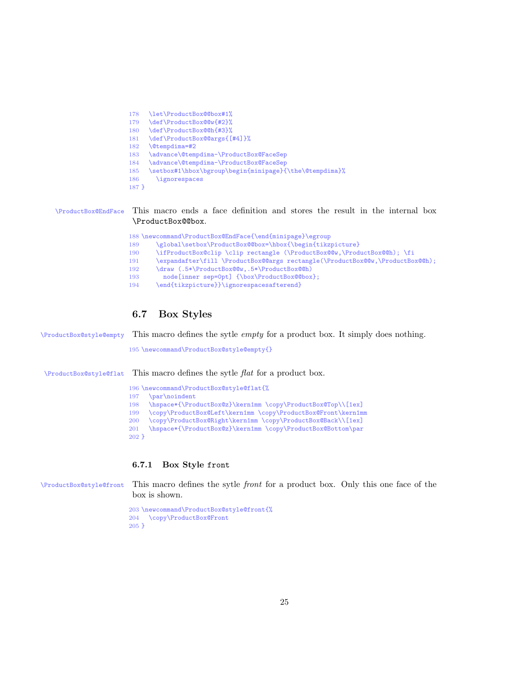```
178 \let\ProductBox@@box#1%
179 \def\ProductBox@@w{#2}%
180 \def\ProductBox@@h{#3}%
181 \def\ProductBox@@args{[#4]}%
182 \@tempdima=#2
183 \advance\@tempdima-\ProductBox@FaceSep
184 \advance\@tempdima-\ProductBox@FaceSep<br>185 \setbox#1\hbox\bgroup\begin{minipage}{
     \label{thm:main} $$\setbox*1\hbox\b{X}begin \begin{minipage}{\the\@tempdima$}\% \end{minipage}186 \ignorespaces
187 }
```
\ProductBox@EndFace This macro ends a face definition and stores the result in the internal box \ProductBox@@box.

|     | 188 \newcommand\ProductBox@EndFace{\end{minipage}\egroup                      |
|-----|-------------------------------------------------------------------------------|
| 189 | \global\setbox\ProductBox@@box=\hbox{\begin{tikzpicture}                      |
| 190 | \ifProductBox@clip \clip rectangle (\ProductBox@@w,\ProductBox@@h); \fi       |
| 191 | \expandafter\fill \ProductBox@@args rectangle(\ProductBox@@w,\ProductBox@@h); |
| 192 | \draw (.5*\ProductBox@@w,.5*\ProductBox@@h)                                   |
| 193 | node [inner sep=0pt] {\box\ProductBox@@box};                                  |
| 194 | \end{tikzpicture}}\ignorespacesafterend}                                      |

# <span id="page-24-0"></span>6.7 Box Styles

\ProductBox@style@empty This macro defines the sytle empty for a product box. It simply does nothing.

\newcommand\ProductBox@style@empty{}

\ProductBox@style@flat This macro defines the sytle flat for a product box.

196 \newcommand\ProductBox@style@flat{%<br>197 \par\noindent  $\parfrac{\n}{\n}{\n}$  \hspace\*{\ProductBox@z}\kern1mm \copy\ProductBox@Top\\[1ex] \copy\ProductBox@Left\kern1mm \copy\ProductBox@Front\kern1mm \copy\ProductBox@Right\kern1mm \copy\ProductBox@Back\\[1ex] \hspace\*{\ProductBox@z}\kern1mm \copy\ProductBox@Bottom\par }

#### <span id="page-24-1"></span>6.7.1 Box Style front

\ProductBox@style@front This macro defines the sytle front for a product box. Only this one face of the box is shown.

```
203 \newcommand\ProductBox@style@front{%
204 \copy\ProductBox@Front
205 }
```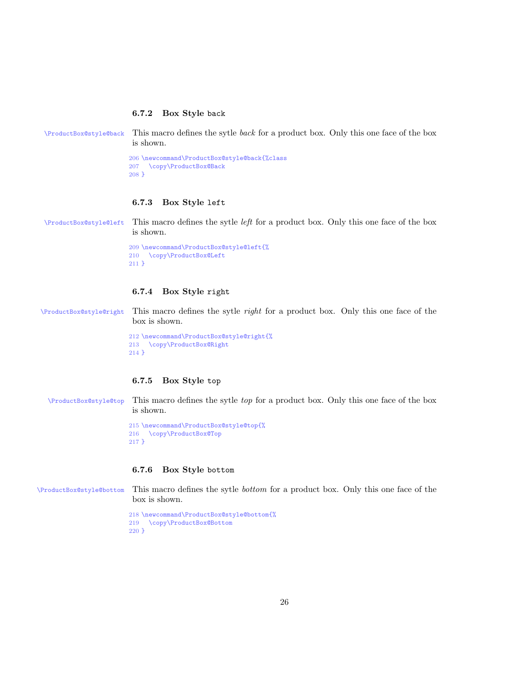#### <span id="page-25-0"></span>6.7.2 Box Style back

```
\ProductBox@style@back This macro defines the sytle back for a product box. Only this one face of the box
                       is shown.
```

```
206 \newcommand\ProductBox@style@back{%class
207 \copy\ProductBox@Back
208 }
```
#### <span id="page-25-1"></span>6.7.3 Box Style left

\ProductBox@style@left This macro defines the sytle left for a product box. Only this one face of the box is shown.

```
209 \newcommand\ProductBox@style@left{%
210 \copy\ProductBox@Left
211 }
```
### <span id="page-25-2"></span>6.7.4 Box Style right

\ProductBox@style@right This macro defines the sytle right for a product box. Only this one face of the box is shown.

> 212 \newcommand\ProductBox@style@right{% 213 \copy\ProductBox@Right 214 }

#### <span id="page-25-3"></span>6.7.5 Box Style top

\ProductBox@style@top This macro defines the sytle top for a product box. Only this one face of the box is shown.

> 215 \newcommand\ProductBox@style@top{% 216 \copy\ProductBox@Top 217 }

#### <span id="page-25-4"></span>6.7.6 Box Style bottom

\ProductBox@style@bottom This macro defines the sytle bottom for a product box. Only this one face of the box is shown.

```
218 \newcommand\ProductBox@style@bottom{%
219 \copy\ProductBox@Bottom
220 }
```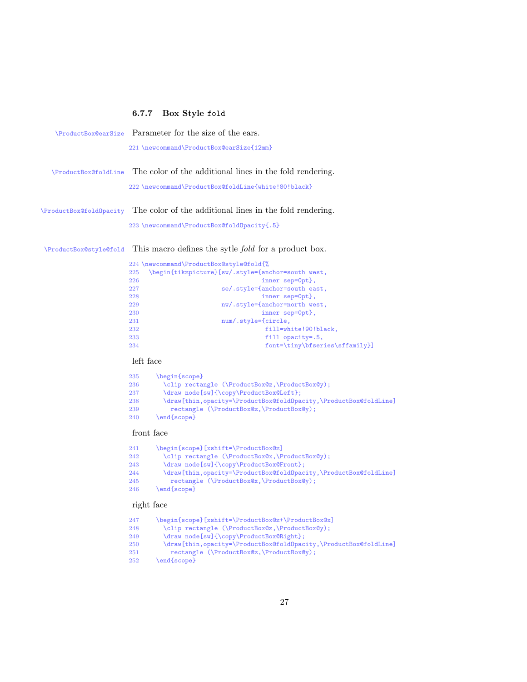# <span id="page-26-0"></span>6.7.7 Box Style fold

|                             | \ProductBox@earSize Parameter for the size of the ears.                 |
|-----------------------------|-------------------------------------------------------------------------|
|                             | 221 \newcommand\ProductBox@earSize{12mm}                                |
| <b>\ProductBox@foldLine</b> | The color of the additional lines in the fold rendering.                |
|                             | 222 \newcommand\ProductBox@foldLine{white!80!black}                     |
| \ProductBox@foldOpacity     | The color of the additional lines in the fold rendering.                |
|                             | 223 \newcommand\ProductBox@foldOpacity{.5}                              |
| \ProductBox@style@fold      | This macro defines the sytle <i>fold</i> for a product box.             |
|                             | 224 \newcommand\ProductBox@style@fold{%                                 |
|                             | \begin{tikzpicture}[sw/.style={anchor=south west,<br>225                |
|                             | 226<br>inner sep=0pt},                                                  |
|                             | se/.style={anchor=south east,<br>227                                    |
|                             | 228<br>inner sep=0pt},                                                  |
|                             | nw/.style={anchor=north west,<br>229                                    |
|                             | inner sep=0pt},<br>230                                                  |
|                             | num/.style={circle,<br>231                                              |
|                             | 232<br>fill=white!90!black,                                             |
|                             | 233<br>fill opacity=.5,                                                 |
|                             | 234<br>font=\tiny\bfseries\sffamily}]                                   |
|                             | left face                                                               |
|                             | \begin{scope}<br>235                                                    |
|                             | \clip rectangle (\ProductBox@z,\ProductBox@y);<br>236                   |
|                             | \draw node[sw]{\copy\ProductBox@Left};<br>237                           |
|                             | \draw[thin,opacity=\ProductBox@foldOpacity,\ProductBox@foldLine]<br>238 |
|                             | rectangle (\ProductBox@z,\ProductBox@y);<br>239                         |
|                             | \end{scope}<br>240                                                      |
|                             |                                                                         |

# front face

| 241 | \begin{scope}[xshift=\ProductBox@z]                              |
|-----|------------------------------------------------------------------|
| 242 | \clip rectangle (\ProductBox@x,\ProductBox@y);                   |
| 243 | \draw node[sw]{\copy\ProductBox@Front};                          |
| 244 | \draw[thin,opacity=\ProductBox@foldOpacity,\ProductBox@foldLine] |
| 245 | rectangle (\ProductBox@x,\ProductBox@y);                         |
| 246 | $\end{iscore}$                                                   |

# right face

| 247 | \begin{scope}[xshift=\ProductBox@z+\ProductBox@x]                |
|-----|------------------------------------------------------------------|
| 248 | \clip rectangle (\ProductBox@z,\ProductBox@y);                   |
| 249 | \draw node[sw]{\copy\ProductBox@Right};                          |
| 250 | \draw[thin,opacity=\ProductBox@foldOpacity,\ProductBox@foldLine] |
| 251 | rectangle (\ProductBox@z,\ProductBox@y);                         |
| 252 | $\end{array}$                                                    |
|     |                                                                  |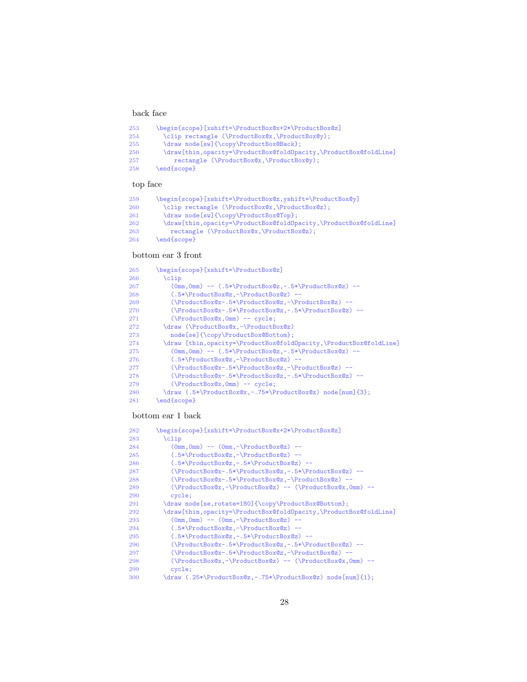#### back face

| 253 | \begin{scope}[xshift=\ProductBox@x+2*\ProductBox@z]              |
|-----|------------------------------------------------------------------|
| 254 | \clip rectangle (\ProductBox@x,\ProductBox@y);                   |
| 255 | \draw node[sw]{\copy\ProductBox@Back};                           |
| 256 | \draw[thin,opacity=\ProductBox@foldOpacity,\ProductBox@foldLine] |
| 257 | rectangle (\ProductBox@x,\ProductBox@y);                         |
| 258 | end{scope}                                                       |
|     |                                                                  |

# top face

| 259 | \begin{scope}[xshift=\ProductBox@z,yshift=\ProductBox@y]         |
|-----|------------------------------------------------------------------|
| 260 | \clip rectangle (\ProductBox@x,\ProductBox@z);                   |
| 261 | \draw node[sw]{\copy\ProductBox@Top};                            |
| 262 | \draw[thin,opacity=\ProductBox@foldOpacity,\ProductBox@foldLine] |
| 263 | rectangle (\ProductBox@x,\ProductBox@z);                         |
| 264 | \end{scope}                                                      |

# bottom ear 3 front

| 265 | \begin{scope}[xshift=\ProductBox@z]                                         |
|-----|-----------------------------------------------------------------------------|
| 266 | $\chi$ clip                                                                 |
| 267 | $(0mm, 0mm)$ -- $(.5*)\text{ProductBox@z,-.5*}\text{ProductBox@z}$ --       |
| 268 | $(.5*\PProductBox@z,-\PProductBox@z) --$                                    |
| 269 | $(\PProductBox@x-.5*)ProductBox@z,-\PProductBox@z) --$                      |
| 270 | $(\Pi \text{Cov}(x - 5*)\prod_{\text{Cov}(x, -5)}\prod_{\text{Cov}(x, -5)}$ |
| 271 | $(\Psi \cap \mathbb{C})$ -- cycle;                                          |
| 272 | \draw (\ProductBox@x,-\ProductBox@z)                                        |
| 273 | node[se]{\copy\ProductBox@Bottom};                                          |
| 274 | \draw [thin,opacity=\ProductBox@foldOpacity,\ProductBox@foldLine]           |
| 275 | $(0mm, 0mm)$ -- $(.5*)\text{ProductBoxQz, -.5*}\text{ProductBoxQz)$ --      |
| 276 | $(.5*\PProductBox@z,-\PProductBox@z) --$                                    |
| 277 | $(\PProductBox@x-.5*)ProductBox@z,-\PProductBox@z) --$                      |
| 278 | $(\Pi \text{Cov}(x - 5*)\prod_{\text{Cov}(x, -5)}\prod_{\text{Cov}(x, -5)}$ |
| 279 | $(\P \text{reductBox}\x, \text{Omm})$ -- cycle;                             |
| 280 | \draw (.5*\ProductBox@x,-.75*\ProductBox@z) node[num]{3};                   |
| 281 | \end{scope}                                                                 |

### bottom ear 1 back

| 282 | \begin{scope}[xshift=\ProductBox@x+2*\ProductBox@z]                    |
|-----|------------------------------------------------------------------------|
| 283 | $\chi$ clip                                                            |
| 284 | $(0mm, 0mm)$ -- $(0mm, -\PProductBox@z)$ --                            |
| 285 | $(.5*)\$                                                               |
| 286 | $(.5*)\$                                                               |
| 287 | $(\PProduced x@x-.5*)\ProductBox@z,-.5*)\ProductBox@z$ --              |
| 288 | $(\PProductBox@x-.5*)ProductBox@z,-\PProductBox@z) --$                 |
| 289 | $(\Psi_x, -\ProductBox(x, -\ProductBox(x)) -- (\ProductBox(x, 0mm) --$ |
| 290 | cycle;                                                                 |
| 291 | \draw node[se,rotate=180]{\copy\ProductBox@Bottom};                    |
| 292 | \draw[thin,opacity=\ProductBox@foldOpacity,\ProductBox@foldLine]       |
| 293 | $(0mm, 0mm)$ -- $(0mm, -\PProductBox@z)$ --                            |
| 294 | $(.5*)\$                                                               |
| 295 | $(.5*)\ProductBox@z,-.5*\ProductBox@z) --$                             |
| 296 | $(\PProduced x@x-.5*)\ProductBox@z,-.5*)\ProductBox@z$ --              |
| 297 | $(\PProductBox@x-.5*)ProductBox@z,-\PProductBox@z) --$                 |
| 298 | $(\Psi_x, -\ProductBox(x, -\ProductBox(x)) -- (\ProductBox(x, 0mm) --$ |
| 299 | cycle;                                                                 |
| 300 | \draw (.25*\ProductBox@z,-.75*\ProductBox@z) node[num]{1};             |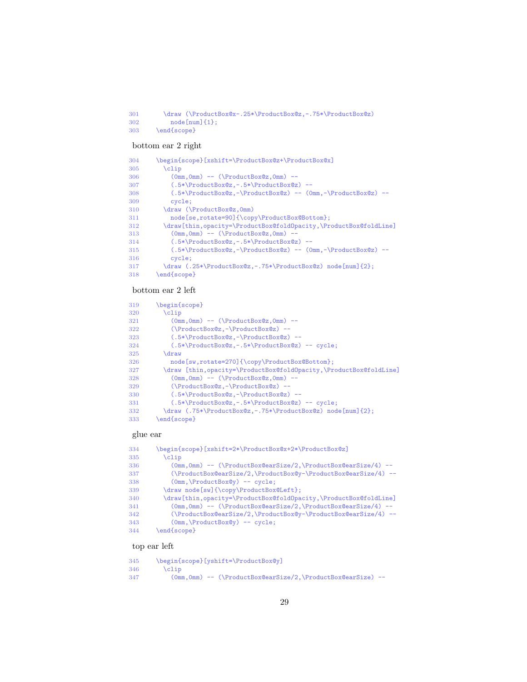\draw (\ProductBox@x-.25\*\ProductBox@z,-.75\*\ProductBox@z)  $302 \qquad \qquad \text{node} \text{[num]} \text{{} 1};$ \end{scope}

# bottom ear 2 right

| 304 | \begin{scope}[xshift=\ProductBox@z+\ProductBox@x]                 |
|-----|-------------------------------------------------------------------|
| 305 | $\chi$ clip                                                       |
| 306 | $(0mm.0mm)$ -- $(\P{}_{\text{reductBox}}(z.0mm)$ --               |
| 307 | $(.5*)\$                                                          |
| 308 | $(.5*\PProductBox@z,-\PProductBox@z) -- (0mm,-\PProductBox@z) --$ |
| 309 | cycle;                                                            |
| 310 | \draw (\ProductBox@z, Omm)                                        |
| 311 | node[se,rotate=90]{\copy\ProductBox@Bottom};                      |
| 312 | \draw[thin,opacity=\ProductBox@foldOpacity,\ProductBox@foldLine]  |
| 313 | $(0mm, 0mm)$ -- $(\PeroductBox@z, 0mm)$ --                        |
| 314 | $(.5*)\$                                                          |
| 315 | $(.5*\PProductBox@z,-\PProductBox@z) -- (0mm,-\PProductBox@z) --$ |
| 316 | cycle;                                                            |
| 317 | \draw (.25*\ProductBox@z,-.75*\ProductBox@z) node [num] {2};      |
| 318 | \end{scope}                                                       |
|     |                                                                   |

#### bottom ear 2 left

| 319 | begin{scope}                                                      |
|-----|-------------------------------------------------------------------|
| 320 | $\chi$ clip                                                       |
| 321 | $(0mm.0mm)$ -- $(\P{}_{\text{reductBox}}@z.0mm)$ --               |
| 322 | $(\P \text{ProductBoxQz}, -\ProductBoxQz) --$                     |
| 323 | $(.5*)\$                                                          |
| 324 | $(.5*)\$ ProductBox@z, -. $5*\$ ProductBox@z) -- cycle;           |
| 325 | \draw                                                             |
| 326 | node[sw,rotate=270]{\copy\ProductBox@Bottom};                     |
| 327 | \draw [thin,opacity=\ProductBox@foldOpacity,\ProductBox@foldLine] |
| 328 | $(0mm, 0mm)$ -- $(\PeroductBox@z, 0mm)$ --                        |
| 329 | $(\P \text{ProductBoxQz}, -\ProductBoxQz) --$                     |
| 330 | $(.5*)\$                                                          |
| 331 | $(.5*)\$                                                          |
| 332 | \draw (.75*\ProductBox@z,-.75*\ProductBox@z) node [num] {2};      |
| 333 | \end{scope}                                                       |

# glue ear

| 334 | \begin{scope}[xshift=2*\ProductBox@x+2*\ProductBox@z]                       |
|-----|-----------------------------------------------------------------------------|
| 335 | $\chi$ clip                                                                 |
| 336 | $(0mm, 0mm)$ -- $(\ProductBox@earSize/2, \ProductBox@earSize/4)$ --         |
| 337 | $(\sqrt{ProuctBox@earSize/2}, \sqrt{ProuctBox@y-\ProductBox@earSize/4})$ -- |
| 338 | $(0mm, \Producedov@y) -- cycle;$                                            |
| 339 | \draw node[sw]{\copy\ProductBox@Left};                                      |
| 340 | \draw[thin,opacity=\ProductBox@foldOpacity,\ProductBox@foldLine]            |
| 341 | $(0mm, 0mm)$ -- $(\ProductBox@earSize/2, \ProductBox@earSize/4)$ --         |
| 342 | $(\sqrt{ProuctBox@earSize/2}, \sqrt{ProuctBox@y-\ProductBox@earSize/4})$ -- |
| 343 | $(0mm, \ProadcastBox@y) -- cycle;$                                          |
| 344 | \end{scope}                                                                 |

# top ear left

| 345 | \begin{scope}[yshift=\ProductBox@y]                              |
|-----|------------------------------------------------------------------|
| 346 | $\chi$                                                           |
| 347 | $(0mm.0mm)$ -- $(\ProductBox@earSize/2.\PProductBox@earSize)$ -- |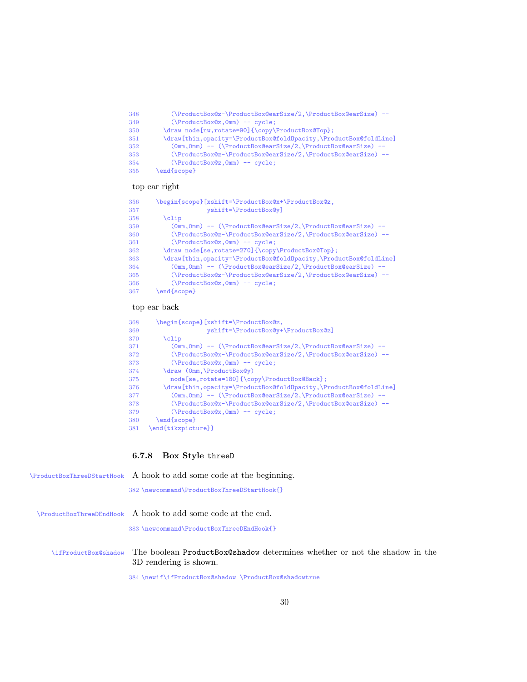| 348 | (\ProductBox@z-\ProductBox@earSize/2,\ProductBox@earSize) --      |
|-----|-------------------------------------------------------------------|
| 349 | $(\PeroductBox@z, Omm)$ -- cycle;                                 |
| 350 | \draw node[nw,rotate=90]{\copy\ProductBox@Top};                   |
| 351 | \draw[thin,opacity=\ProductBox@foldOpacity,\ProductBox@foldLine]  |
| 352 | $(0mm, 0mm)$ -- $(\ProductBox@earSize/2, \ProductBox@earSize)$ -- |
| 353 | (\ProductBox@z-\ProductBox@earSize/2,\ProductBox@earSize) --      |
| 354 | $(\P \text{ProductBoxQz}, \text{Omm}) \text{-- cycle};$           |
| 355 | $\end{iscore}$                                                    |
|     |                                                                   |

# top ear right

| 356 | \begin{scope}[xshift=\ProductBox@x+\ProductBox@z,                 |
|-----|-------------------------------------------------------------------|
| 357 | $vshift='ProductBox@v]$                                           |
| 358 | \clip                                                             |
| 359 | $(0mm, 0mm)$ -- $(\ProductBox@earSize/2, \ProductBox@earSize)$ -- |
| 360 | (\ProductBox@z-\ProductBox@earSize/2,\ProductBox@earSize) --      |
| 361 | $(\P \text{reductBox@z, 0mm})$ -- cycle;                          |
| 362 | \draw node[se,rotate=270]{\copy\ProductBox@Top};                  |
| 363 | \draw[thin,opacity=\ProductBox@fold0pacity,\ProductBox@foldLine]  |
| 364 | (Omm, Omm) -- (\ProductBox@earSize/2,\ProductBox@earSize) --      |
| 365 | (\ProductBox@z-\ProductBox@earSize/2,\ProductBox@earSize) --      |
| 366 | $(\Delta x@z, 0mm)$ -- cycle;                                     |
| 367 | $end{sfscope}$                                                    |

# top ear back

| 368 | \begin{scope}[xshift=\ProductBox@z,                               |
|-----|-------------------------------------------------------------------|
| 369 | yshift=\ProductBox@y+\ProductBox@z]                               |
| 370 | $\chi$ clip                                                       |
| 371 | $(0mm, 0mm)$ -- $(\ProductBox@earSize/2, \ProductBox@earSize)$ -- |
| 372 | (\ProductBox@x-\ProductBox@earSize/2,\ProductBox@earSize) --      |
| 373 | $(\P \text{reductBox@x}, \text{Omm})$ -- cycle;                   |
| 374 | \draw (Omm, \ProductBox@y)                                        |
| 375 | node[se,rotate=180]{\copy\ProductBox@Back};                       |
| 376 | \draw[thin,opacity=\ProductBox@foldOpacity,\ProductBox@foldLine]  |
| 377 | (0mm, 0mm) -- (\ProductBox@earSize/2,\ProductBox@earSize) --      |
| 378 | (\ProductBox@x-\ProductBox@earSize/2,\ProductBox@earSize) --      |
| 379 | $(\P \text{reductBox@x}, \text{Omm})$ -- cycle;                   |
| 380 | \end{scope}                                                       |
| 381 | \end{tikzpicture}}                                                |
|     |                                                                   |

# <span id="page-29-0"></span>6.7.8 Box Style threeD

|                      | \ProductBoxThreeDStartHook A hook to add some code at the beginning.                                         |
|----------------------|--------------------------------------------------------------------------------------------------------------|
|                      | 382 \newcommand\ProductBoxThreeDStartHook{}                                                                  |
|                      | $\PeroductBoxThreeDEndHook$ A hook to add some code at the end.<br>383 \newcommand\ProductBoxThreeDEndHook{} |
| \ifProductBox@shadow | The boolean ProductBox@shadow determines whether or not the shadow in the<br>3D rendering is shown.          |
|                      | 384 \newif \ifProductBox@shadow \ProductBox@shadowtrue                                                       |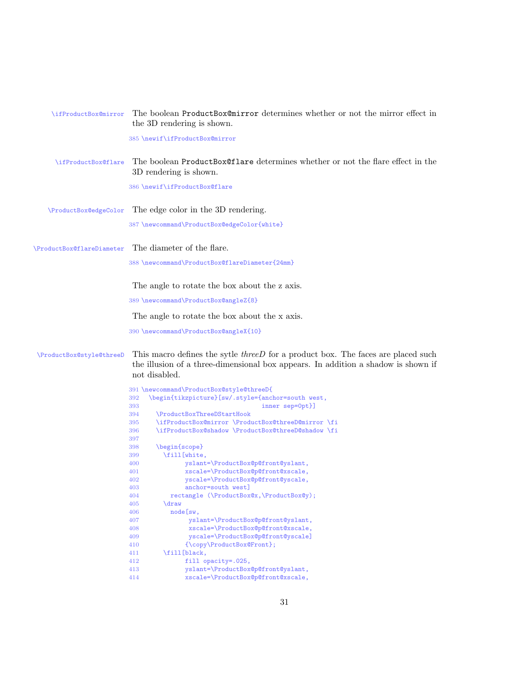| \ifProductBox@mirror      | The boolean ProductBox@mirror determines whether or not the mirror effect in<br>the 3D rendering is shown.                                                                                    |
|---------------------------|-----------------------------------------------------------------------------------------------------------------------------------------------------------------------------------------------|
|                           | 385 \newif\ifProductBox@mirror                                                                                                                                                                |
| \ifProductBox@flare       | The boolean ProductBox@flare determines whether or not the flare effect in the<br>3D rendering is shown.                                                                                      |
|                           | 386 \newif\ifProductBox@flare                                                                                                                                                                 |
| \ProductBox@edgeColor     | The edge color in the 3D rendering.                                                                                                                                                           |
|                           | 387 \newcommand\ProductBox@edgeColor{white}                                                                                                                                                   |
| \ProductBox@flareDiameter | The diameter of the flare.                                                                                                                                                                    |
|                           | 388 \newcommand\ProductBox@flareDiameter{24mm}                                                                                                                                                |
|                           | The angle to rotate the box about the z axis.                                                                                                                                                 |
|                           | 389 \newcommand\ProductBox@angleZ{8}                                                                                                                                                          |
|                           | The angle to rotate the box about the x axis.                                                                                                                                                 |
|                           |                                                                                                                                                                                               |
|                           | 390 \newcommand\ProductBox@angleX{10}                                                                                                                                                         |
| \ProductBox@style@threeD  | This macro defines the sytle <i>threeD</i> for a product box. The faces are placed such<br>the illusion of a three-dimensional box appears. In addition a shadow is shown if<br>not disabled. |
|                           |                                                                                                                                                                                               |
|                           | 391 \newcommand\ProductBox@style@threeD{                                                                                                                                                      |
|                           | \begin{tikzpicture}[sw/.style={anchor=south west,<br>392                                                                                                                                      |
|                           | inner sep=0pt}]<br>393                                                                                                                                                                        |
|                           | \ProductBoxThreeDStartHook<br>394<br>\ifProductBox@mirror \ProductBox@threeD@mirror \fi<br>395                                                                                                |
|                           | \ifProductBox@shadow \ProductBox@threeD@shadow \fi<br>396                                                                                                                                     |
|                           | 397                                                                                                                                                                                           |
|                           | \begin{scope}<br>398                                                                                                                                                                          |
|                           | \fill[white,<br>399                                                                                                                                                                           |
|                           | yslant=\ProductBox@p@front@yslant,<br>400                                                                                                                                                     |
|                           | xscale=\ProductBox@p@front@xscale,<br>401                                                                                                                                                     |
|                           | yscale=\ProductBox@p@front@yscale,<br>402                                                                                                                                                     |
|                           | anchor=south west]<br>403                                                                                                                                                                     |
|                           | rectangle (\ProductBox@x,\ProductBox@y);<br>404                                                                                                                                               |
|                           | 405<br>draw                                                                                                                                                                                   |
|                           | 406<br>node[sw,                                                                                                                                                                               |
|                           | yslant=\ProductBox@p@front@yslant,<br>407                                                                                                                                                     |
|                           | xscale=\ProductBox@p@front@xscale,<br>408                                                                                                                                                     |
|                           | yscale=\ProductBox@p@front@yscale]<br>409                                                                                                                                                     |
|                           | {\copy\ProductBox@Front};<br>410                                                                                                                                                              |
|                           | \fill[black,<br>411                                                                                                                                                                           |
|                           | 412<br>fill opacity=.025,<br>yslant=\ProductBox@p@front@yslant,<br>413                                                                                                                        |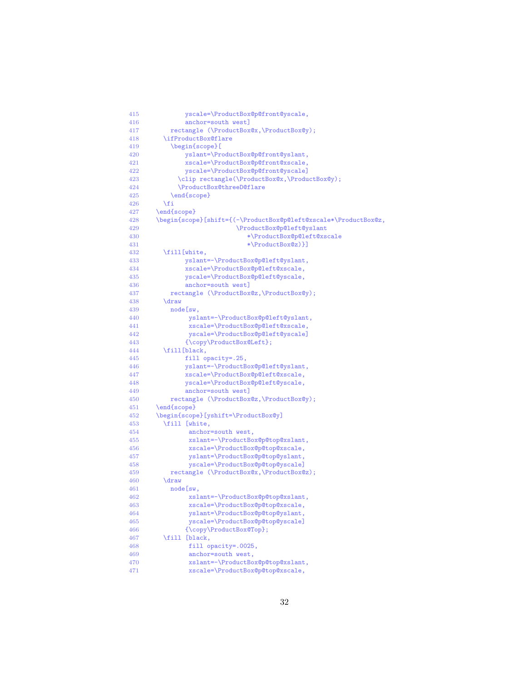| 415        | yscale=\ProductBox@p@front@yscale,                              |
|------------|-----------------------------------------------------------------|
| 416        | anchor=south west]                                              |
| 417        | rectangle (\ProductBox@x,\ProductBox@y);                        |
| 418        | \ifProductBox@flare                                             |
| 419        | \begin{scope}[                                                  |
| 420        | yslant=\ProductBox@p@front@yslant,                              |
| 421        | xscale=\ProductBox@p@front@xscale,                              |
| 422        | yscale=\ProductBox@p@front@yscale]                              |
| 423        | \clip rectangle(\ProductBox@x,\ProductBox@y);                   |
| 424        | \ProductBox@threeD@flare                                        |
| 425<br>426 | \end{scope}                                                     |
| 427        | \fi<br>\end{scope}                                              |
| 428        | \begin{scope}[shift={(-\ProductBox@p@left@xscale*\ProductBox@z, |
| 429        | \ProductBox@p@left@yslant                                       |
| 430        | *\ProductBox@p@left@xscale                                      |
| 431        | *\ProductBox@z)}]                                               |
| 432        | \fill[white,                                                    |
| 433        | yslant =- \ProductBox@p@left@yslant,                            |
| 434        | xscale=\ProductBox@p@left@xscale,                               |
| 435        | yscale=\ProductBox@p@left@yscale,                               |
| 436        | anchor=south west]                                              |
| 437        | rectangle (\ProductBox@z,\ProductBox@y);                        |
| 438        | <i>draw</i>                                                     |
| 439        | node [sw.                                                       |
| 440        | yslant =- \ProductBox@p@left@yslant,                            |
| 441        | xscale=\ProductBox@p@left@xscale,                               |
| 442        | yscale=\ProductBox@p@left@yscale]                               |
| 443        | {\copy\ProductBox@Left};                                        |
| 444        | \fill[black,                                                    |
| 445        | fill opacity=.25,                                               |
| 446        | yslant =- \ProductBox@p@left@yslant,                            |
| 447        | xscale=\ProductBox@p@left@xscale,                               |
| 448        | yscale=\ProductBox@p@left@yscale,                               |
| 449        | anchor=south west]                                              |
| 450<br>451 | rectangle (\ProductBox@z,\ProductBox@y);<br>\end{scope}         |
| 452        | \begin{scope}[yshift=\ProductBox@y]                             |
| 453        | \fill [white,                                                   |
| 454        | anchor=south west,                                              |
| 455        | xslant =- \ProductBox@p@top@xslant,                             |
| 456        | xscale=\ProductBox@p@top@xscale,                                |
| 457        | yslant=\ProductBox@p@top@yslant,                                |
| 458        | yscale=\ProductBox@p@top@yscale]                                |
| 459        | rectangle (\ProductBox@x,\ProductBox@z);                        |
| 460        | <i>draw</i>                                                     |
| 461        | node[sw,                                                        |
| 462        | xslant =- \ProductBox@p@top@xslant,                             |
| 463        | xscale=\ProductBox@p@top@xscale,                                |
| 464        | yslant=\ProductBox@p@top@yslant,                                |
| 465        | yscale=\ProductBox@p@top@yscale]                                |
| 466        | {\copy\ProductBox@Top};                                         |
| 467        | \fill [black,                                                   |
| 468        | fill opacity=.0025,                                             |
| 469        | anchor=south west,                                              |
| 470        | xslant =- \ProductBox@p@top@xslant,                             |
| 471        | xscale=\ProductBox@p@top@xscale,                                |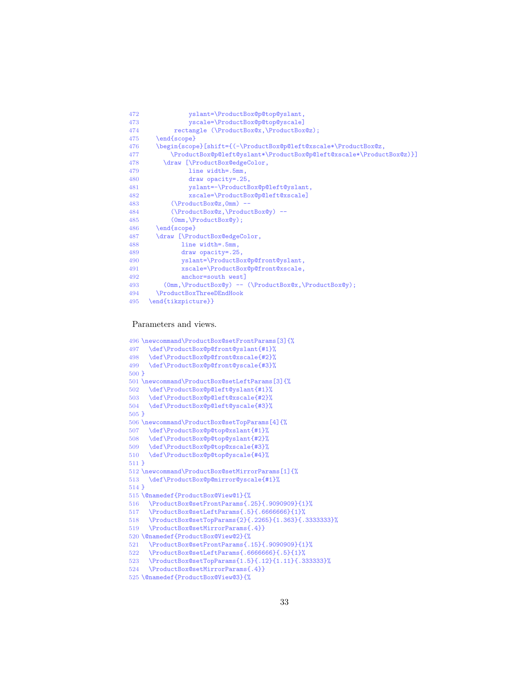```
472 yslant=\ProductBox@p@top@yslant,<br>473 yscale=\ProductBox@p@top@yscale1
473 yscale=\ProductBox@p@top@yscale]<br>474 rectangle (\ProductBox@x.\ProductBox
              rectangle (\ProductBox@x,\ProductBox@z);
475 \end{scope}<br>476 \begin{scop
         \begin{scope}[shift={(-\ProductBox@p@left@xscale*\ProductBox@z,
477 \ProductBox@p@left@yslant*\ProductBox@p@left@xscale*\ProductBox@z)}]
478 \draw [\ProductBox@edgeColor,<br>479 line width=.5mm,
                   line width=.5mm,
480 draw opacity=.25,
481 yslant=-\ProductBox@p@left@yslant,<br>482 xscale=\ProductBox@p@left@xscale]
                   482 xscale=\ProductBox@p@left@xscale]
483 (\ProductBox@z,0mm) --<br>484 (\ProductBox@z.\Product
             484 (\ProductBox@z,\ProductBox@y) --
485 (0mm,\ProductBox@y);<br>486 \end{scope}
486 \end{scope}<br>487 \draw [\Pro
         \draw [\ProductBox@edgeColor,
488 line width=.5mm,
489 draw opacity=.25,
490 yslant=\ProductBox@p@front@yslant,<br>491 yscale=\ProductBox@p@front@yscale
                xscale=\ProductBox@p@front@xscale,
492 anchor=south west]
493 (0mm,\ProductBox@y) -- (\ProductBox@x,\ProductBox@y);
         \ProductBoxThreeDEndHook
495 \end{tikzpicture}}
```
#### Parameters and views.

 \newcommand\ProductBox@setFrontParams[3]{% \def\ProductBox@p@front@yslant{#1}% \def\ProductBox@p@front@xscale{#2}% \def\ProductBox@p@front@yscale{#3}% 500 } \newcommand\ProductBox@setLeftParams[3]{% 502 \def\ProductBox@p@left@yslant{#1}%<br>503 \def\ProductBox@p@left@xscale{#2}% \def\ProductBox@p@left@xscale{#2}% \def\ProductBox@p@left@yscale{#3}% 505 } \newcommand\ProductBox@setTopParams[4]{% \def\ProductBox@p@top@xslant{#1}% 508 \def\ProductBox@p@top@yslant{#2}%<br>509 \def\ProductBox@p@top@xscale{#3}% \def\ProductBox@p@top@xscale{#3}% \def\ProductBox@p@top@yscale{#4}% 511 } \newcommand\ProductBox@setMirrorParams[1]{% \def\ProductBox@p@mirror@yscale{#1}% 514 } \@namedef{ProductBox@View@1}{% 516 \ProductBox@setFrontParams{.25}{.9090909}{1}%<br>517 \ProductBox@setLeftParams{.5}{.6666666}{1}% \ProductBox@setLeftParams{.5}{.6666666}{1}% \ProductBox@setTopParams{2}{.2265}{1.363}{.3333333}% \ProductBox@setMirrorParams{.4}} \@namedef{ProductBox@View@2}{% 521 \ProductBox@setFrontParams{.15}{.9090909}{1}%<br>522 \ProductBox@setLeftParams{.6666666}{.5}{1}% \ProductBox@setLeftParams{.6666666}{.5}{1}% 523 \ProductBox@setTopParams $\{1.5\}$ {.12}{1.11}{.333333}%<br>524 \ProductBox@setMirrorParams{ 4}} \ProductBox@setMirrorParams{.4}} \@namedef{ProductBox@View@3}{%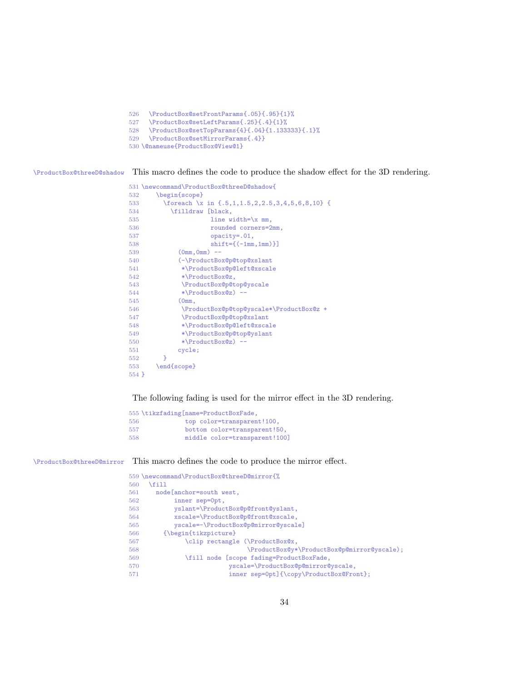```
526 \ProductBox@setFrontParams{.05}{.95}{1}%<br>527 \ProductBox@setLeftParams{ 25}{ 4}{1}%
      527 \ProductBox@setLeftParams{.25}{.4}{1}%
528 \ProductBox@setTopParams{4}{.04}{1.133333}{.1}%
529 \ProductBox@setMirrorParams{.4}}
530 \@nameuse{ProductBox@View@1}
```
\ProductBox@threeD@shadow This macro defines the code to produce the shadow effect for the 3D rendering.

```
531 \newcommand\ProductBox@threeD@shadow{
532 \begin{scope}<br>533 \foreach \x
          \{ 5,1,1.5,2,2.5,3,4,5,6,8,10 \}534 \filldraw [black,
535 line width=\x mm,<br>536 counded corners=2
                       rounded corners=2mm,
537 opacity=.01,
538 shift={(-1mm,1mm)}]
539 (0mm,0mm) --
540 (-\ProductBox@p@top@xslant<br>541 *\ProductBox@p@left@xscal
               541 *\ProductBox@p@left@xscale
542 *\ProductBox@z,<br>543 \ProductBox@p@t
543 \ProductBox@p@top@yscale<br>544 *\ProductBox@z) --
               *\ProductBox@z) --
545 (0mm, 546 )
               546 \ProductBox@p@top@yscale*\ProductBox@z +
547 \ProductBox@p@top@xslant<br>548 *\ProductBox@p@left@xscal
               548 *\ProductBox@p@left@xscale
549 *\ProductBox@p@top@yslant
550 *\ProductBox@z) --<br>551 cycle;
              cycle;
552 }<br>553 \end
        \end{scope}
554 }
```
The following fading is used for the mirror effect in the 3D rendering.

|     | 555 \tikzfading [name=ProductBoxFade, |
|-----|---------------------------------------|
| 556 | top color=transparent!100,            |
| 557 | bottom color=transparent!50,          |
| 558 | middle color=transparent!100]         |

\ProductBox@threeD@mirror This macro defines the code to produce the mirror effect.

|     | 559 \newcommand\ProductBox@threeD@mirror{%      |
|-----|-------------------------------------------------|
| 560 | \fill                                           |
| 561 | node[anchor=south west,                         |
| 562 | inner sep=0pt,                                  |
| 563 | yslant=\ProductBox@p@front@yslant,              |
| 564 | xscale=\ProductBox@p@front@xscale,              |
| 565 | yscale = - \ProductBox@p@mirror@yscale]         |
| 566 | $\{\begin{bmatrix} tikzpicture \end{bmatrix}\}$ |
| 567 | \clip rectangle (\ProductBox@x,                 |
| 568 | \ProductBox@y*\ProductBox@p@mirror@yscale);     |
| 569 | \fill node [scope fading=ProductBoxFade,        |
| 570 | yscale=\ProductBox@p@mirror@yscale,             |
| 571 | inner sep=0pt]{\copy\ProductBox@Front};         |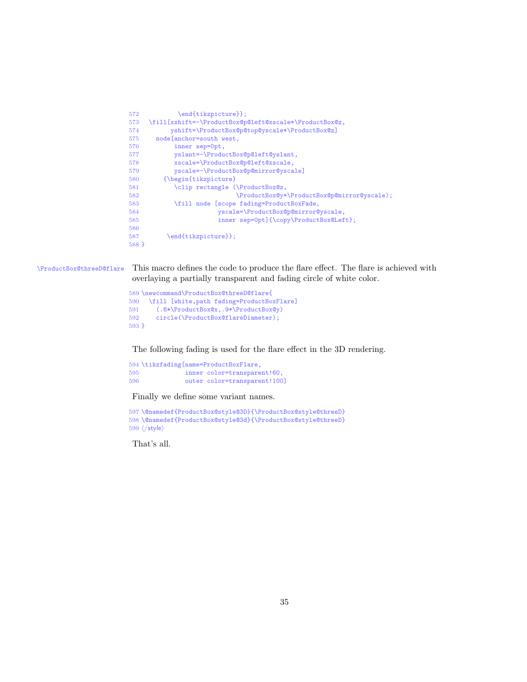| 572     | \end{tikzpicture}};                                    |  |  |
|---------|--------------------------------------------------------|--|--|
| 573     | \fill[xshift=-\ProductBox@p@left@xscale*\ProductBox@z, |  |  |
| 574     | yshift=\ProductBox@p@top@yscale*\ProductBox@z]         |  |  |
| 575     | node[anchor=south west,                                |  |  |
| 576     | inner sep=0pt,                                         |  |  |
| 577     | yslant =- \ProductBox@p@left@yslant,                   |  |  |
| 578     | xscale=\ProductBox@p@left@xscale,                      |  |  |
| 579     | yscale =- \ProductBox@p@mirror@yscale]                 |  |  |
| 580     | {\begin{tikzpicture}                                   |  |  |
| 581     | \clip rectangle (\ProductBox@z,                        |  |  |
| 582     | \ProductBox@y*\ProductBox@p@mirror@yscale);            |  |  |
| 583     | \fill node [scope fading=ProductBoxFade,               |  |  |
| 584     | yscale=\ProductBox@p@mirror@yscale,                    |  |  |
| 585     | inner sep=0pt]{\copy\ProductBox@Left};                 |  |  |
| 586     |                                                        |  |  |
| 587     | \end{tikzpicture}};                                    |  |  |
| $588$ } |                                                        |  |  |

\ProductBox@threeD@flare This macro defines the code to produce the flare effect. The flare is achieved with overlaying a partially transparent and fading circle of white color.

```
589 \newcommand\ProductBox@threeD@flare{
590 \fill [white,path fading=ProductBoxFlare]<br>591 (.8*\ProductBox@x,.9*\ProductBox@y)
        591 (.8*\ProductBox@x,.9*\ProductBox@y)
592 circle(\ProductBox@flareDiameter);
593 }
```
The following fading is used for the flare effect in the 3D rendering.

 \tikzfading[name=ProductBoxFlare, 595 inner color=transparent!60,<br>596 outer color=transparent!100 outer color=transparent!100]

Finally we define some variant names.

```
597 \@namedef{ProductBox@style@3D}{\ProductBox@style@threeD}
598 \@namedef{ProductBox@style@3d}{\ProductBox@style@threeD}
599 \langle/style\rangle
```
That's all.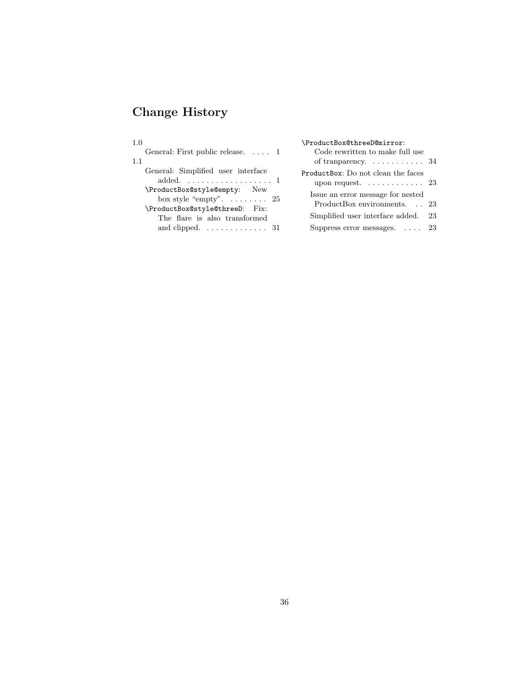# Change History

| 1.0<br>General: First public release. $\dots$ 1<br>-1.1                                                             | \ProductBox@threeD@mirror:<br>Code rewritten to make full use                 |    |
|---------------------------------------------------------------------------------------------------------------------|-------------------------------------------------------------------------------|----|
| General: Simplified user interface<br>added. $\ldots \ldots \ldots \ldots \ldots 1$<br>\ProductBox@style@empty: New | ProductBox: Do not clean the faces<br>upon request. $\ldots \ldots \ldots 23$ |    |
| box style "empty". $\dots \dots$ 25<br>\ProductBox@style@threeD: Fix:                                               | Issue an error message for nested<br>ProductBox environments. 23              |    |
| The flare is also transformed<br>and clipped. $\dots \dots \dots \dots \dots$ 31                                    | Simplified user interface added.<br>Suppress error messages. $\ldots$ 23      | 23 |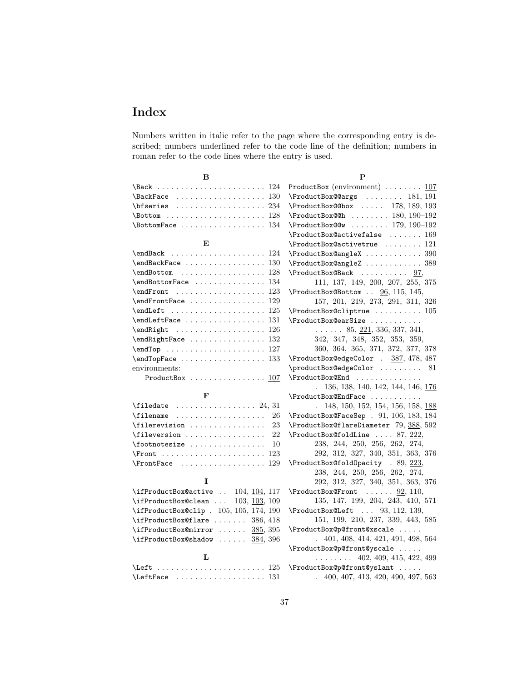# Index

Numbers written in italic refer to the page where the corresponding entry is described; numbers underlined refer to the code line of the definition; numbers in roman refer to the code lines where the entry is used.

| в                                                                                                                                                                                                                                                                                                                                                                                                                      |             |
|------------------------------------------------------------------------------------------------------------------------------------------------------------------------------------------------------------------------------------------------------------------------------------------------------------------------------------------------------------------------------------------------------------------------|-------------|
| 124                                                                                                                                                                                                                                                                                                                                                                                                                    | Prod        |
| \BackFace<br>130                                                                                                                                                                                                                                                                                                                                                                                                       | \Pro        |
|                                                                                                                                                                                                                                                                                                                                                                                                                        | \Pro        |
| $\lambda$ Bottom  128                                                                                                                                                                                                                                                                                                                                                                                                  | <b>\Pro</b> |
| \BottomFace<br>134                                                                                                                                                                                                                                                                                                                                                                                                     | \Pro        |
|                                                                                                                                                                                                                                                                                                                                                                                                                        | \Pro        |
| E                                                                                                                                                                                                                                                                                                                                                                                                                      | \Pro        |
| \endBack<br>124                                                                                                                                                                                                                                                                                                                                                                                                        | \Pro        |
| \endBackFace<br>130                                                                                                                                                                                                                                                                                                                                                                                                    | \Pro        |
| \endBottom<br>128                                                                                                                                                                                                                                                                                                                                                                                                      | \Pro        |
| \endBottomFace<br>134                                                                                                                                                                                                                                                                                                                                                                                                  |             |
| $\end{From}$<br>123                                                                                                                                                                                                                                                                                                                                                                                                    | \Pro        |
| \endFrontFace<br>129                                                                                                                                                                                                                                                                                                                                                                                                   |             |
| 125                                                                                                                                                                                                                                                                                                                                                                                                                    | <b>\Pro</b> |
| \endLeftFace<br>131                                                                                                                                                                                                                                                                                                                                                                                                    | \Pro        |
| \endRight<br>126                                                                                                                                                                                                                                                                                                                                                                                                       |             |
| \endRightFace<br>132                                                                                                                                                                                                                                                                                                                                                                                                   |             |
| 127                                                                                                                                                                                                                                                                                                                                                                                                                    |             |
| \endTopFace<br>133                                                                                                                                                                                                                                                                                                                                                                                                     | \Pro        |
| environments:                                                                                                                                                                                                                                                                                                                                                                                                          | \pro        |
| ProductBox  107                                                                                                                                                                                                                                                                                                                                                                                                        | \Pro        |
| $\mathbf{F}$                                                                                                                                                                                                                                                                                                                                                                                                           | \Pro        |
| $\theta$ . $\theta$ . $\theta$ . $\theta$ . $\theta$ . $\theta$ . $\theta$ . $\theta$ . $\theta$ . $\theta$ . $\theta$ . $\theta$ . $\theta$ . $\theta$ . $\theta$ . $\theta$ . $\theta$ . $\theta$ . $\theta$ . $\theta$ . $\theta$ . $\theta$ . $\theta$ . $\theta$ . $\theta$ . $\theta$ . $\theta$ . $\theta$ . $\theta$ . $\theta$ . $\theta$ . $\theta$ . $\theta$ . $\theta$ . $\theta$ . $\theta$ . $\theta$ . |             |
| $\mathcal{I}$ ilename<br>-26                                                                                                                                                                                                                                                                                                                                                                                           | \Pro        |
| \filerevision<br>- 23                                                                                                                                                                                                                                                                                                                                                                                                  | \Pro        |
| 22<br>$\left\{ \text{fileversion} \dots \dots \dots \dots \dots \right\}$                                                                                                                                                                                                                                                                                                                                              | \Pro        |
| \footnotesize<br>10                                                                                                                                                                                                                                                                                                                                                                                                    |             |
| $\sqrt{1 + \frac{1}{2}}$<br>123                                                                                                                                                                                                                                                                                                                                                                                        |             |
| $\ProntFace \dots \dots \dots \dots \dots$<br>129                                                                                                                                                                                                                                                                                                                                                                      | \Pro        |
|                                                                                                                                                                                                                                                                                                                                                                                                                        |             |
| I                                                                                                                                                                                                                                                                                                                                                                                                                      |             |
| $\i{if ProductBox@active  104, 104, 117}$                                                                                                                                                                                                                                                                                                                                                                              | <b>\Pro</b> |
| $\i{if ProductBox@clean  103, 103, 109}$                                                                                                                                                                                                                                                                                                                                                                               |             |
| \ifProductBox@clip . 105, 105, 174, 190                                                                                                                                                                                                                                                                                                                                                                                | \Pro        |
| 386, 418<br>\ifProductBox@flare                                                                                                                                                                                                                                                                                                                                                                                        |             |
| $\left\{ \mathbf{F} \right\}$ $\left\{ \mathbf{F} \right\}$ $\left\{ \mathbf{F} \right\}$ $\left\{ \mathbf{F} \right\}$                                                                                                                                                                                                                                                                                                | <b>\Pro</b> |
| $\left\{\text{ifProductBox@shadow}\dots\dots\right.\quad\frac{384}{396}\right\}$                                                                                                                                                                                                                                                                                                                                       |             |
|                                                                                                                                                                                                                                                                                                                                                                                                                        | \Pro        |
| $\mathbf L$                                                                                                                                                                                                                                                                                                                                                                                                            |             |
|                                                                                                                                                                                                                                                                                                                                                                                                                        | \Pro        |
| $\left\{\texttt{LeftFace}\right.\dots\dots\dots\dots\dots\quad131$                                                                                                                                                                                                                                                                                                                                                     |             |

P  $\texttt{luctBox}$  (environment)  $\ldots \ldots \ldots \frac{107}{2}$  $\sigma$ ductBox@@args . . . . . . . . 181, 191  $\texttt{ductBox@box} \quad \ldots \quad 178, 189, 193$  $\texttt{ductBox@ch} \quad \ldots \ldots \ldots \quad 180, \, 190–192$  $\texttt{ductBox@W}$  . . . . . . . . 179, 190–192  $\texttt{ductBox@activefalse}$  ...... 169  $\sigma$ ductBox@activetrue ........  $121$  $\texttt{ductBox@angleX}\ \dots \dots \dots \dots \dots \ 390$  $\sigma$ ductBox@angleZ  $\ldots \ldots \ldots \ldots \ 389$  $\texttt{ductBox@Back}$  . . . . . . . . . . 97, 111, 137, 149, 200, 207, 255, 375 ductBox@Bottom  $\ldots$   $96, 115, 145,$ 157, 201, 219, 273, 291, 311, 326  $\texttt{ductBox@cliptrue}$  .........  $105$ ductBox@earSize . . . . . . . . . . .  $\ldots$  . . . . 85, 221, 336, 337, 341, 342, 347, 348, 352, 353, 359, 360, 364, 365, 371, 372, 377, 378 ductBox@edgeColor . 387, 478, 487  $\sigma$ ductBox@edgeColor . . . . . . . . . 81 ductBox@End . . . . . . . . . . . . . . 136, 138, 140, 142, 144, 146, 176  $\sigma$ ductBox@EndFace  $\ldots \ldots \ldots$  . . 148, 150, 152, 154, 156, 158, 188  $\texttt{ductBox@FaceSep}$  .  $91, \underline{106}, \overline{183}, \overline{184}$ ductBox@flareDiameter 79, 388, 592  $\frac{\text{ductBoxOfoldLine}}{\text{ductBoxOfoldLine}}$  .... 87,  $\frac{222}{2}$ 238, 244, 250, 256, 262, 274, 292, 312, 327, 340, 351, 363, 376  $\frac{\text{ductBoxOfoldOperator}}{3}$  . 89,  $\frac{223}{3}$ 238, 244, 250, 256, 262, 274, 292, 312, 327, 340, 351, 363, 376  $\texttt{ductBox@Front}$  . . . . . .  $92, 110,$ 135, 147, 199, 204, 243, 410, 571  $\texttt{ductBox@Left} \quad \ldots \quad \underline{93}, 112, 139,$ 151, 199, 210, 237, 339, 443, 585 ductBox@p@front@xscale . . . . . . 401, 408, 414, 421, 491, 498, 564 ductBox@p@front@yscale . . . . . . . . . . . . . 402, 409, 415, 422, 499 ductBox@p@front@yslant . . . . . . 400, 407, 413, 420, 490, 497, 563